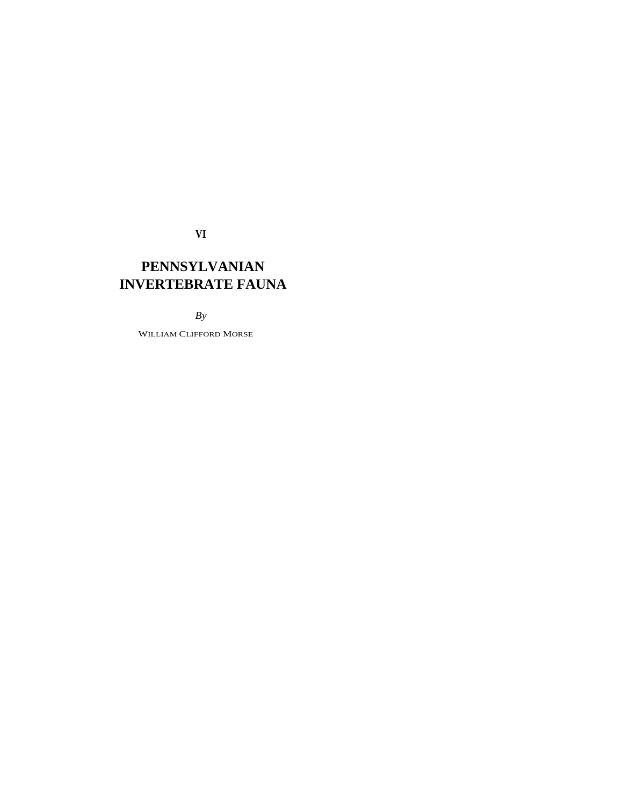**VI** 

# **PENNSYLVANIAN INVERTEBRATE FAUNA**

## *By*

WILLIAM CLIFFORD MORSE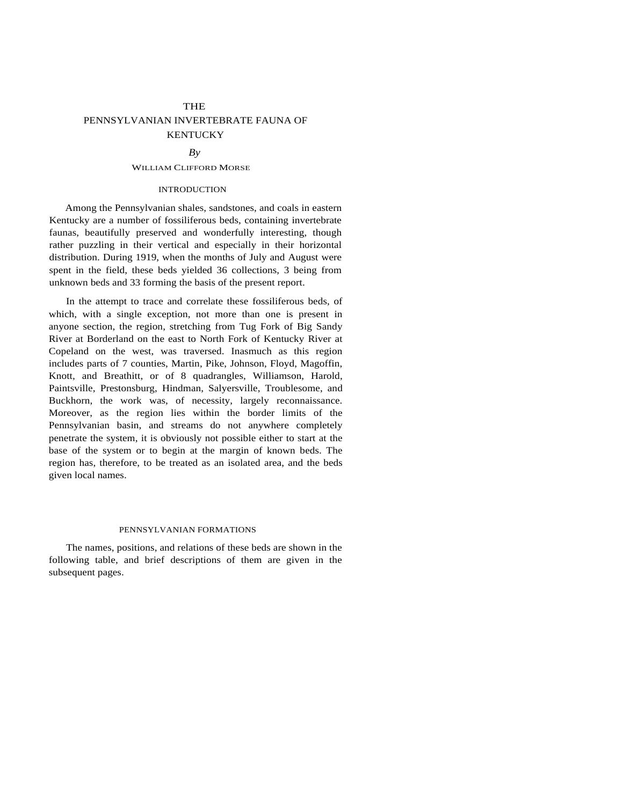# **THE** PENNSYLVANIAN INVERTEBRATE FAUNA OF **KENTUCKY**

#### $Bv$

#### WILLIAM CLIFFORD MORSE

## INTRODUCTION

Among the Pennsylvanian shales, sandstones, and coals in eastern Kentucky are a number of fossiliferous beds, containing invertebrate faunas, beautifully preserved and wonderfully interesting, though rather puzzling in their vertical and especially in their horizontal distribution. During 1919, when the months of July and August were spent in the field, these beds yielded 36 collections, 3 being from unknown beds and 33 forming the basis of the present report.

In the attempt to trace and correlate these fossiliferous beds, of which, with a single exception, not more than one is present in anyone section, the region, stretching from Tug Fork of Big Sandy River at Borderland on the east to North Fork of Kentucky River at Copeland on the west, was traversed. Inasmuch as this region includes parts of 7 counties, Martin, Pike, Johnson, Floyd, Magoffin, Knott, and Breathitt, or of 8 quadrangles, Williamson, Harold, Paintsville, Prestonsburg, Hindman, Salyersville, Troublesome, and Buckhorn, the work was, of necessity, largely reconnaissance. Moreover, as the region lies within the border limits of the Pennsylvanian basin, and streams do not anywhere completely penetrate the system, it is obviously not possible either to start at the base of the system or to begin at the margin of known beds. The region has, therefore, to be treated as an isolated area, and the beds given local names.

#### PENNSYLVANIAN FORMATIONS

The names, positions, and relations of these beds are shown in the following table, and brief descriptions of them are given in the subsequent pages.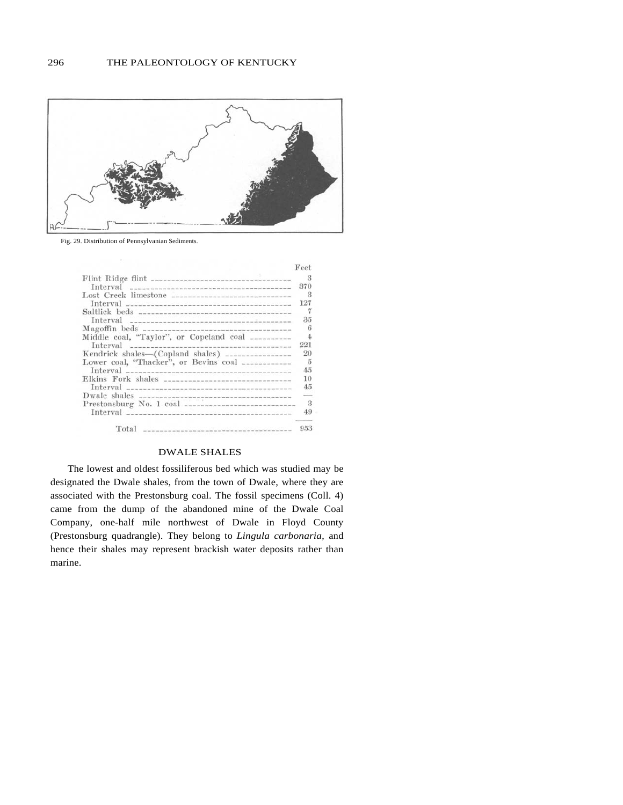

Fig. 29. Distribution of Pennsylvanian Sediments.

|                                                                                                                 | Feet           |
|-----------------------------------------------------------------------------------------------------------------|----------------|
|                                                                                                                 | 3              |
|                                                                                                                 | 370            |
| Lost Creek limestone                                                                                            | - 3            |
| Interval                                                                                                        | 127            |
|                                                                                                                 |                |
|                                                                                                                 | 35             |
|                                                                                                                 | 6              |
| Middle coal, "Taylor", or Copeland coal __________                                                              | $\overline{4}$ |
|                                                                                                                 | 221            |
| Kendrick shales-(Copland shales) ----------------                                                               | 20             |
| Lower coal, "Thacker", or Bevins coal ___________                                                               | $\frac{5}{2}$  |
|                                                                                                                 | 4.5            |
|                                                                                                                 | 10             |
|                                                                                                                 | 4.5            |
|                                                                                                                 | and in         |
|                                                                                                                 | - 3            |
| Interval in the contract of the contract of the contract of the contract of the contract of the contract of the | 4.9            |
| Total                                                                                                           | ___<br>953     |

## DWALE SHALES

The lowest and oldest fossiliferous bed which was studied may be designated the Dwale shales, from the town of Dwale, where they are associated with the Prestonsburg coal. The fossil specimens (Coll. 4) came from the dump of the abandoned mine of the Dwale Coal Company, one-half mile northwest of Dwale in Floyd County (Prestonsburg quadrangle). They belong to *Lingula carbonaria,* and hence their shales may represent brackish water deposits rather than marine.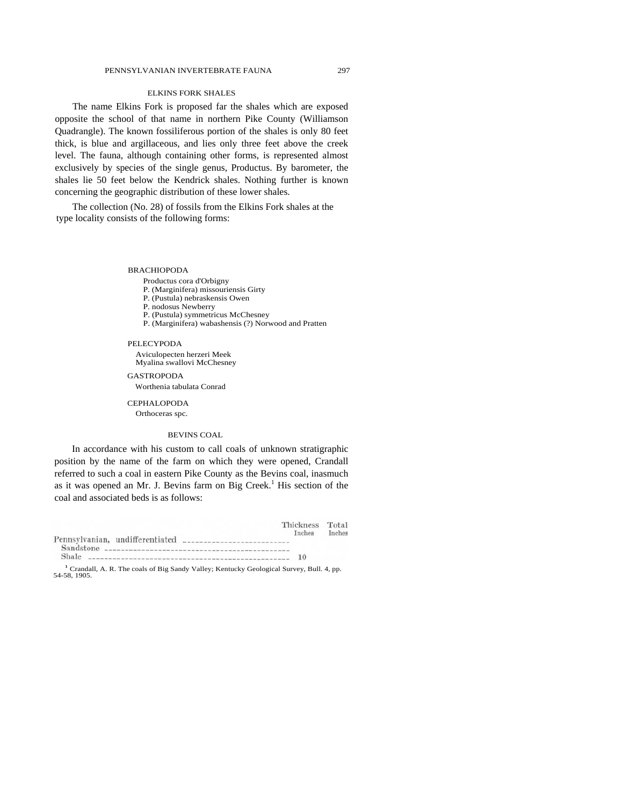#### PENNSYLVANIAN INVERTEBRATE FAUNA 297

## ELKINS FORK SHALES

The name Elkins Fork is proposed far the shales which are exposed opposite the school of that name in northern Pike County (Williamson Quadrangle). The known fossiliferous portion of the shales is only 80 feet thick, is blue and argillaceous, and lies only three feet above the creek level. The fauna, although containing other forms, is represented almost exclusively by species of the single genus, Productus. By barometer, the shales lie 50 feet below the Kendrick shales. Nothing further is known concerning the geographic distribution of these lower shales.

The collection (No. 28) of fossils from the Elkins Fork shales at the type locality consists of the following forms:

BRACHIOPODA

#### Productus cora d'Orbigny

- P. (Marginifera) missouriensis Girty
- P. (Pustula) nebraskensis Owen
- P. nodosus Newberry
- P. (Pustula) symmetricus McChesney
- P. (Marginifera) wabashensis (?) Norwood and Pratten

#### PELECYPODA

Aviculopecten herzeri Meek Myalina swallovi McChesney

GASTROPODA

Worthenia tabulata Conrad

**CEPHALOPODA** Orthoceras spc.

#### BEVINS COAL

In accordance with his custom to call coals of unknown stratigraphic position by the name of the farm on which they were opened, Crandall referred to such a coal in eastern Pike County as the Bevins coal, inasmuch as it was opened an Mr. J. Bevins farm on Big Creek.<sup>1</sup> His section of the coal and associated beds is as follows:

|                                                                                                         | Thickness Total |        |
|---------------------------------------------------------------------------------------------------------|-----------------|--------|
|                                                                                                         | Inches          | Inches |
| 3. 오랜만 45. 2012년 1월 2012년 2월 2012년 2월 2012년 2월 2012년 2월 2012년 2월 2012년 2월 2012년 2월 2012년 2월 2012년 2월 20 |                 |        |
|                                                                                                         |                 |        |
|                                                                                                         |                 |        |

<sup>1</sup> Crandall, A. R. The coals of Big Sandy Valley; Kentucky Geological Survey, Bull. 4, pp. 54-58, 1905.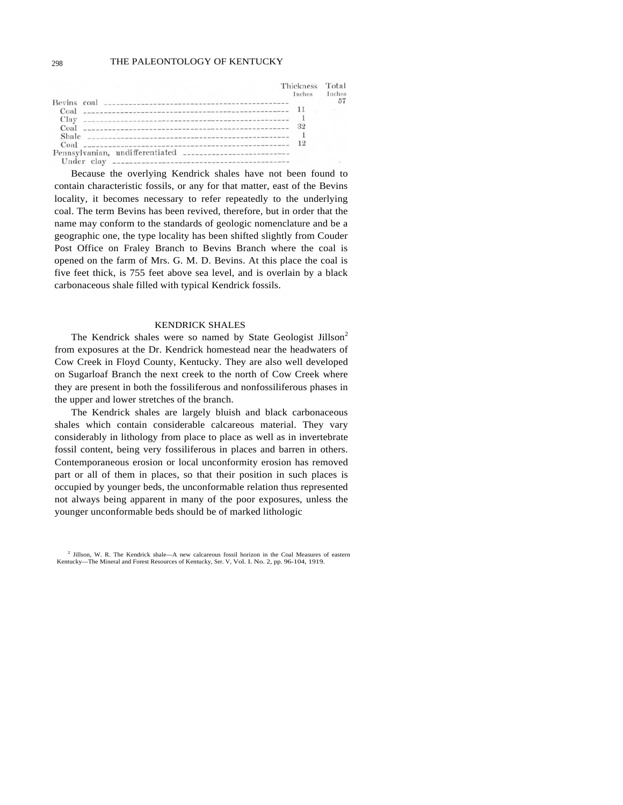## 298 THE PALEONTOLOGY OF KENTUCKY

|       | Thickness<br>Inches | Tota<br>nche |
|-------|---------------------|--------------|
|       |                     |              |
| Coal  |                     |              |
| Clay  |                     |              |
| Coal  |                     |              |
| Shale |                     |              |
| Coal  | 12                  |              |
|       |                     |              |
|       |                     |              |

Because the overlying Kendrick shales have not been found to contain characteristic fossils, or any for that matter, east of the Bevins locality, it becomes necessary to refer repeatedly to the underlying coal. The term Bevins has been revived, therefore, but in order that the name may conform to the standards of geologic nomenclature and be a geographic one, the type locality has been shifted slightly from Couder Post Office on Fraley Branch to Bevins Branch where the coal is opened on the farm of Mrs. G. M. D. Bevins. At this place the coal is five feet thick, is 755 feet above sea level, and is overlain by a black carbonaceous shale filled with typical Kendrick fossils.

## KENDRICK SHALES

The Kendrick shales were so named by State Geologist Jillson<sup>2</sup> from exposures at the Dr. Kendrick homestead near the headwaters of Cow Creek in Floyd County, Kentucky. They are also well developed on Sugarloaf Branch the next creek to the north of Cow Creek where they are present in both the fossiliferous and nonfossiliferous phases in the upper and lower stretches of the branch.

The Kendrick shales are largely bluish and black carbonaceous shales which contain considerable calcareous material. They vary considerably in lithology from place to place as well as in invertebrate fossil content, being very fossiliferous in places and barren in others. Contemporaneous erosion or local unconformity erosion has removed part or all of them in places, so that their position in such places is occupied by younger beds, the unconformable relation thus represented not always being apparent in many of the poor exposures, unless the younger unconformable beds should be of marked lithologic

<sup>&</sup>lt;sup>2</sup> Jillson, W. R. The Kendrick shale-A new calcareous fossil horizon in the Coal Measures of eastern Kentucky—The Mineral and Forest Resources of Kentucky, Ser. V, Vol. I. No. 2, pp. 96-104, 1919.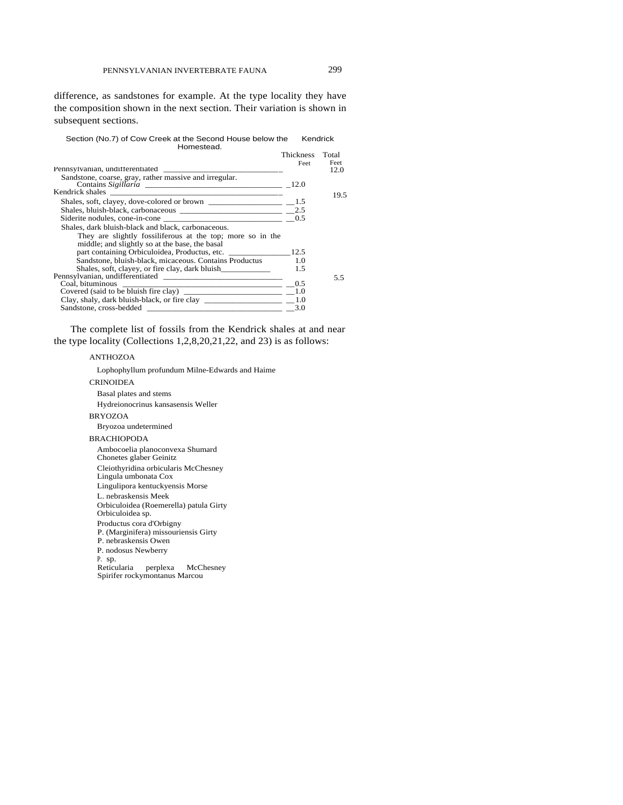difference, as sandstones for example. At the type locality they have the composition shown in the next section. Their variation is shown in subsequent sections.

Section (No.7) of Cow Creek at the Second House below the Kendrick Homestead.

|                                                                                                                                                                                                                                                                                                                                                                                              | Thickness<br>Feet | Total<br>Feet |
|----------------------------------------------------------------------------------------------------------------------------------------------------------------------------------------------------------------------------------------------------------------------------------------------------------------------------------------------------------------------------------------------|-------------------|---------------|
|                                                                                                                                                                                                                                                                                                                                                                                              |                   | 12.0          |
|                                                                                                                                                                                                                                                                                                                                                                                              |                   |               |
|                                                                                                                                                                                                                                                                                                                                                                                              |                   | 19.5          |
|                                                                                                                                                                                                                                                                                                                                                                                              |                   |               |
|                                                                                                                                                                                                                                                                                                                                                                                              |                   |               |
|                                                                                                                                                                                                                                                                                                                                                                                              |                   |               |
| Shales, dark bluish-black and black, carbonaceous.                                                                                                                                                                                                                                                                                                                                           |                   |               |
| They are slightly fossiliferous at the top; more so in the                                                                                                                                                                                                                                                                                                                                   |                   |               |
| middle; and slightly so at the base, the basal                                                                                                                                                                                                                                                                                                                                               |                   |               |
|                                                                                                                                                                                                                                                                                                                                                                                              |                   |               |
| Sandstone, bluish-black, micaceous. Contains Productus 1.0                                                                                                                                                                                                                                                                                                                                   |                   |               |
|                                                                                                                                                                                                                                                                                                                                                                                              |                   |               |
|                                                                                                                                                                                                                                                                                                                                                                                              |                   | 5.5           |
|                                                                                                                                                                                                                                                                                                                                                                                              |                   |               |
| Covered (said to be bluish fire clay) $\frac{1}{\sqrt{1-\frac{1}{2}}}\frac{1}{\sqrt{1-\frac{1}{2}}}\frac{1}{\sqrt{1-\frac{1}{2}}}\frac{1}{\sqrt{1-\frac{1}{2}}}\frac{1}{\sqrt{1-\frac{1}{2}}}\frac{1}{\sqrt{1-\frac{1}{2}}}\frac{1}{\sqrt{1-\frac{1}{2}}}\frac{1}{\sqrt{1-\frac{1}{2}}}\frac{1}{\sqrt{1-\frac{1}{2}}}\frac{1}{\sqrt{1-\frac{1}{2}}}\frac{1}{\sqrt{1-\frac{1}{2}}}\frac{1}{\$ |                   |               |
|                                                                                                                                                                                                                                                                                                                                                                                              |                   |               |
|                                                                                                                                                                                                                                                                                                                                                                                              | 3.0               |               |

The complete list of fossils from the Kendrick shales at and near the type locality (Collections 1,2,8,20,21,22, and 23) is as follows:

#### ANTHOZOA

Lophophyllum profundum Milne-Edwards and Haime **CRINOIDEA** Basal plates and stems Hydreionocrinus kansasensis Weller BRYOZOA Bryozoa undetermined BRACHIOPODA Ambocoelia planoconvexa Shumard Chonetes glaber Geinitz Cleiothyridina orbicularis McChesney Lingula umbonata Cox Lingulipora kentuckyensis Morse L. nebraskensis Meek Orbiculoidea (Roemerella) patula Girty Orbiculoidea sp. Productus cora d'Orbigny P. (Marginifera) missouriensis Girty P. nebraskensis Owen P. nodosus Newberry P. sp. Reticularia perplexa McChesney Spirifer rockymontanus Marcou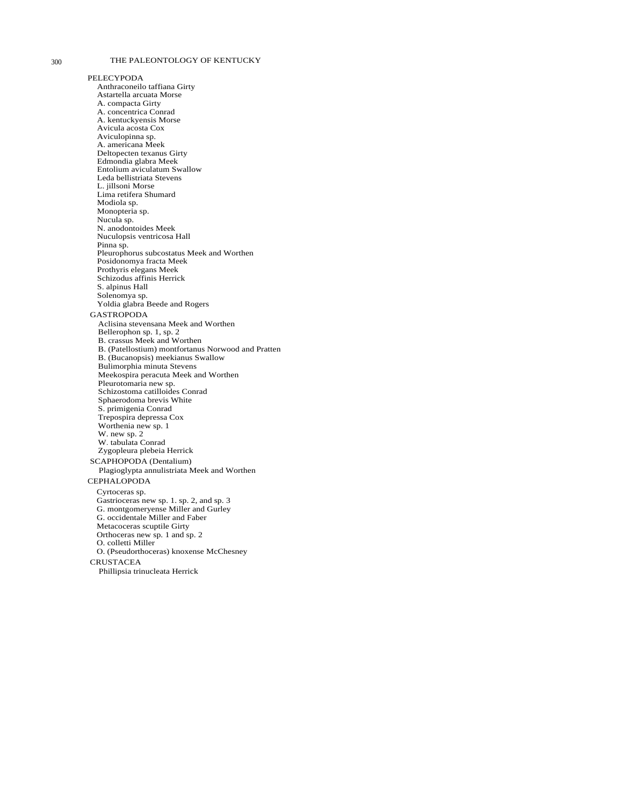## 300 THE PALEONTOLOGY OF KENTUCKY

PELECYPODA Anthraconeilo taffiana Girty Astartella arcuata Morse A. compacta Girty A. concentrica Conrad A. kentuckyensis Morse Avicula acosta Cox Aviculopinna sp. A. americana Meek Deltopecten texanus Girty Edmondia glabra Meek Entolium aviculatum Swallow Leda bellistriata Stevens L. jillsoni Morse Lima retifera Shumard Modiola sp. Monopteria sp. Nucula sp. N. anodontoides Meek Nuculopsis ventricosa Hall Pinna sp. Pleurophorus subcostatus Meek and Worthen Posidonomya fracta Meek Prothyris elegans Meek Schizodus affinis Herrick S. alpinus Hall Solenomya sp. Yoldia glabra Beede and Rogers **GASTROPODA** Aclisina stevensana Meek and Worthen Bellerophon sp. 1, sp. 2 B. crassus Meek and Worthen B. (Patellostium) montfortanus Norwood and Pratten B. (Bucanopsis) meekianus Swallow Bulimorphia minuta Stevens Meekospira peracuta Meek and Worthen Pleurotomaria new sp. Schizostoma catilloides Conrad Sphaerodoma brevis White S. primigenia Conrad Trepospira depressa Cox Worthenia new sp. 1 W. new sp. 2 W. tabulata Conrad Zygopleura plebeia Herrick SCAPHOPODA (Dentalium) Plagioglypta annulistriata Meek and Worthen **CEPHALOPODA** Cyrtoceras sp. Gastrioceras new sp. 1. sp. 2, and sp. 3 G. montgomeryense Miller and Gurley G. occidentale Miller and Faber Metacoceras scuptile Girty Orthoceras new sp. 1 and sp. 2 O. colletti Miller O. (Pseudorthoceras) knoxense McChesney **CRUSTACEA** Phillipsia trinucleata Herrick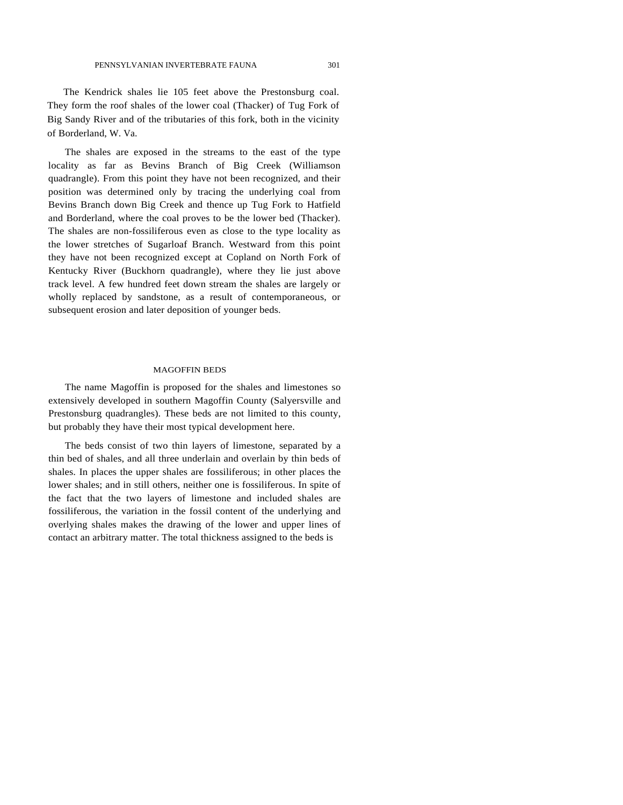The Kendrick shales lie 105 feet above the Prestonsburg coal. They form the roof shales of the lower coal (Thacker) of Tug Fork of Big Sandy River and of the tributaries of this fork, both in the vicinity of Borderland, W. Va.

The shales are exposed in the streams to the east of the type locality as far as Bevins Branch of Big Creek (Williamson quadrangle). From this point they have not been recognized, and their position was determined only by tracing the underlying coal from Bevins Branch down Big Creek and thence up Tug Fork to Hatfield and Borderland, where the coal proves to be the lower bed (Thacker). The shales are non-fossiliferous even as close to the type locality as the lower stretches of Sugarloaf Branch. Westward from this point they have not been recognized except at Copland on North Fork of Kentucky River (Buckhorn quadrangle), where they lie just above track level. A few hundred feet down stream the shales are largely or wholly replaced by sandstone, as a result of contemporaneous, or subsequent erosion and later deposition of younger beds.

#### MAGOFFIN BEDS

The name Magoffin is proposed for the shales and limestones so extensively developed in southern Magoffin County (Salyersville and Prestonsburg quadrangles). These beds are not limited to this county, but probably they have their most typical development here.

The beds consist of two thin layers of limestone, separated by a thin bed of shales, and all three underlain and overlain by thin beds of shales. In places the upper shales are fossiliferous; in other places the lower shales; and in still others, neither one is fossiliferous. In spite of the fact that the two layers of limestone and included shales are fossiliferous, the variation in the fossil content of the underlying and overlying shales makes the drawing of the lower and upper lines of contact an arbitrary matter. The total thickness assigned to the beds is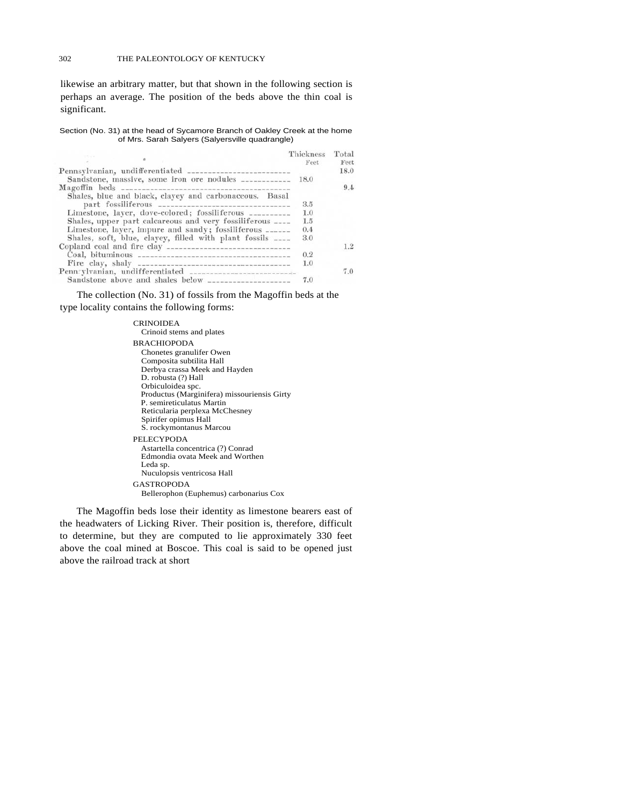likewise an arbitrary matter, but that shown in the following section is perhaps an average. The position of the beds above the thin coal is significant.

Section (No. 31) at the head of Sycamore Branch of Oakley Creek at the home of Mrs. Sarah Salyers (Salyersville quadrangle)

|                                                            | Thickness<br>Feet | Total<br>Feet |
|------------------------------------------------------------|-------------------|---------------|
|                                                            |                   | 18.0          |
| Sandstone, massive, some iron ore nodules ____________     | 18.0              |               |
|                                                            |                   | 9.4           |
| Shales, blue and black, clayey and carbonaceous. Basal     |                   |               |
|                                                            | 3.5               |               |
| Limestone, layer, dove-colored; fossiliferous ___________  | 1.0               |               |
| Shales, upper part calcareous and very fossiliferous ____  | 1.5               |               |
| Limestone, layer, impure and sandy; fossiliferous ______   | 0.4               |               |
| Shales, soft, blue, clayey, filled with plant fossils ____ | 3.0               |               |
|                                                            |                   | 1.2           |
|                                                            | 0.2               |               |
|                                                            | 1.0               |               |
|                                                            |                   | 7.0           |
| Sandstone above and shales below                           | 7.0               |               |

The collection (No. 31) of fossils from the Magoffin beds at the type locality contains the following forms:

> CRINOIDEA Crinoid stems and plates BRACHIOPODA Chonetes granulifer Owen Composita subtilita Hall Derbya crassa Meek and Hayden D. robusta (?) Hall Orbiculoidea spc. Productus (Marginifera) missouriensis Girty P. semireticulatus Martin Reticularia perplexa McChesney Spirifer opimus Hall S. rockymontanus Marcou PELECYPODA Astartella concentrica (?) Conrad Edmondia ovata Meek and Worthen Leda sp. Nuculopsis ventricosa Hall GASTROPODA Bellerophon (Euphemus) carbonarius Cox

The Magoffin beds lose their identity as limestone bearers east of the headwaters of Licking River. Their position is, therefore, difficult to determine, but they are computed to lie approximately 330 feet above the coal mined at Boscoe. This coal is said to be opened just above the railroad track at short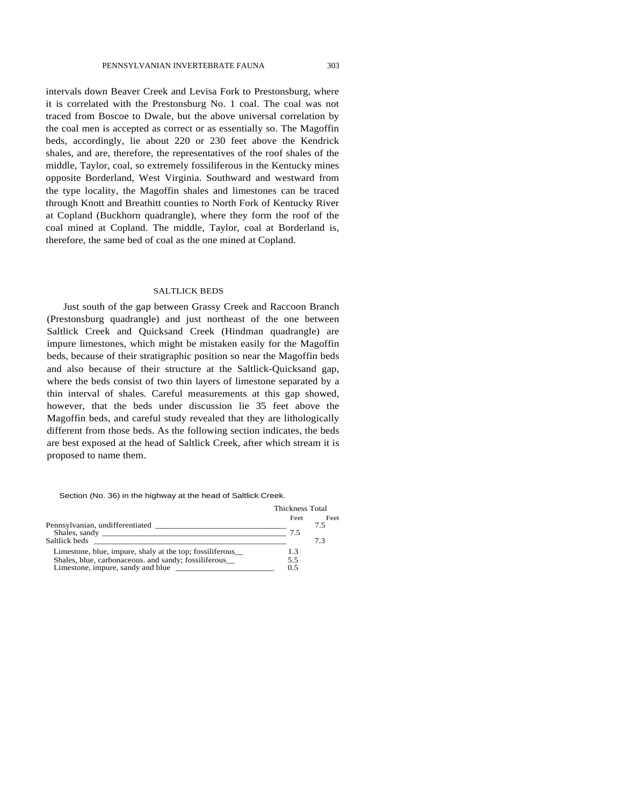intervals down Beaver Creek and Levisa Fork to Prestonsburg, where it is correlated with the Prestonsburg No. 1 coal. The coal was not traced from Boscoe to Dwale, but the above universal correlation by the coal men is accepted as correct or as essentially so. The Magoffin beds, accordingly, lie about 220 or 230 feet above the Kendrick shales, and are, therefore, the representatives of the roof shales of the middle, Taylor, coal, so extremely fossiliferous in the Kentucky mines opposite Borderland, West Virginia. Southward and westward from the type locality, the Magoffin shales and limestones can be traced through Knott and Breathitt counties to North Fork of Kentucky River at Copland (Buckhorn quadrangle), where they form the roof of the coal mined at Copland. The middle, Taylor, coal at Borderland is, therefore, the same bed of coal as the one mined at Copland.

#### SALTLICK BEDS

Just south of the gap between Grassy Creek and Raccoon Branch (Prestonsburg quadrangle) and just northeast of the one between Saltlick Creek and Quicksand Creek (Hindman quadrangle) are impure limestones, which might be mistaken easily for the Magoffin beds, because of their stratigraphic position so near the Magoffin beds and also because of their structure at the Saltlick-Quicksand gap, where the beds consist of two thin layers of limestone separated by a thin interval of shales. Careful measurements at this gap showed, however, that the beds under discussion lie 35 feet above the Magoffin beds, and careful study revealed that they are lithologically different from those beds. As the following section indicates, the beds are best exposed at the head of Saltlick Creek, after which stream it is proposed to name them.

Section (No. 36) in the highway at the head of Saltlick Creek.

|                                                                                            | Thickness Total |             |
|--------------------------------------------------------------------------------------------|-----------------|-------------|
|                                                                                            | Feet<br>75      | Feet<br>7.5 |
| Saltlick beds                                                                              |                 | 73          |
| Limestone, blue, impure, shaly at the top; fossiliferous_                                  | 1.3             |             |
| Shales, blue, carbonaceous. and sandy; fossiliferous_<br>Limestone, impure, sandy and blue | 5.5<br>0.5      |             |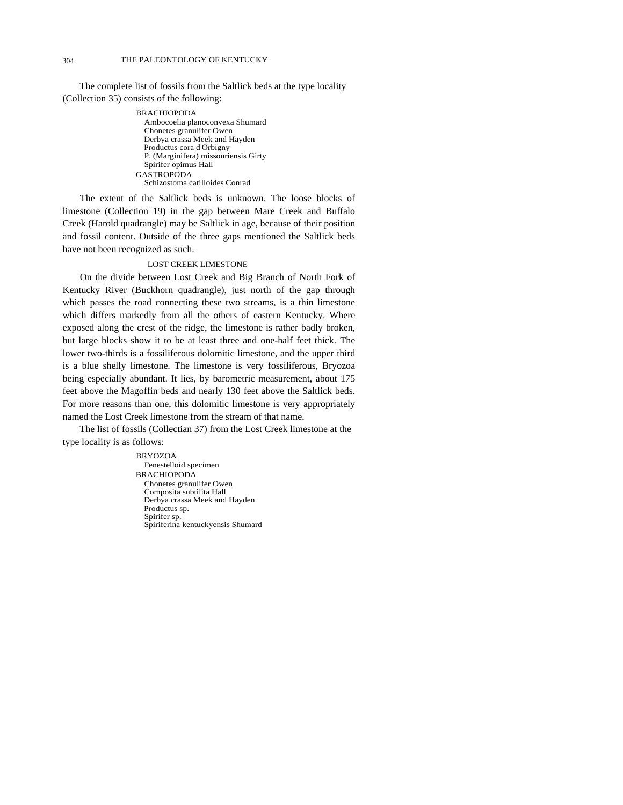The complete list of fossils from the Saltlick beds at the type locality (Collection 35) consists of the following:

> BRACHIOPODA Ambocoelia planoconvexa Shumard Chonetes granulifer Owen Derbya crassa Meek and Hayden Productus cora d'Orbigny P. (Marginifera) missouriensis Girty Spirifer opimus Hall GASTROPODA Schizostoma catilloides Conrad

The extent of the Saltlick beds is unknown. The loose blocks of limestone (Collection 19) in the gap between Mare Creek and Buffalo Creek (Harold quadrangle) may be Saltlick in age, because of their position and fossil content. Outside of the three gaps mentioned the Saltlick beds have not been recognized as such.

## LOST CREEK LIMESTONE

On the divide between Lost Creek and Big Branch of North Fork of Kentucky River (Buckhorn quadrangle), just north of the gap through which passes the road connecting these two streams, is a thin limestone which differs markedly from all the others of eastern Kentucky. Where exposed along the crest of the ridge, the limestone is rather badly broken, but large blocks show it to be at least three and one-half feet thick. The lower two-thirds is a fossiliferous dolomitic limestone, and the upper third is a blue shelly limestone. The limestone is very fossiliferous, Bryozoa being especially abundant. It lies, by barometric measurement, about 175 feet above the Magoffin beds and nearly 130 feet above the Saltlick beds. For more reasons than one, this dolomitic limestone is very appropriately named the Lost Creek limestone from the stream of that name.

The list of fossils (Collectian 37) from the Lost Creek limestone at the type locality is as follows:

> BRYOZOA Fenestelloid specimen BRACHIOPODA Chonetes granulifer Owen Composita subtilita Hall Derbya crassa Meek and Hayden Productus sp. Spirifer sp. Spiriferina kentuckyensis Shumard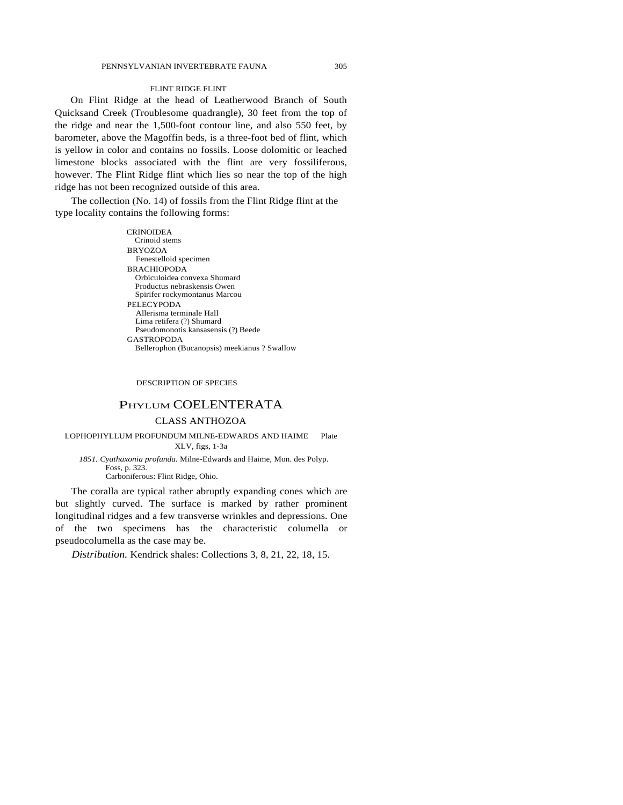#### FLINT RIDGE FLINT

On Flint Ridge at the head of Leatherwood Branch of South Quicksand Creek (Troublesome quadrangle), 30 feet from the top of the ridge and near the 1,500-foot contour line, and also 550 feet, by barometer, above the Magoffin beds, is a three-foot bed of flint, which is yellow in color and contains no fossils. Loose dolomitic or leached limestone blocks associated with the flint are very fossiliferous, however. The Flint Ridge flint which lies so near the top of the high ridge has not been recognized outside of this area.

The collection (No. 14) of fossils from the Flint Ridge flint at the type locality contains the following forms:

> **CRINOIDEA** Crinoid stems BRYOZOA Fenestelloid specimen BRACHIOPODA Orbiculoidea convexa Shumard Productus nebraskensis Owen Spirifer rockymontanus Marcou PELECYPODA Allerisma terminale Hall Lima retifera (?) Shumard Pseudomonotis kansasensis (?) Beede GASTROPODA Bellerophon (Bucanopsis) meekianus ? Swallow

#### DESCRIPTION OF SPECIES

## PHYLUM COELENTERATA

## CLASS ANTHOZOA

LOPHOPHYLLUM PROFUNDUM MILNE-EDWARDS AND HAIME Plate XLV, figs, 1-3a

*1851. Cyathaxonia profunda.* Milne-Edwards and Haime, Mon. des Polyp. Foss, p. 323. Carboniferous: Flint Ridge, Ohio.

The coralla are typical rather abruptly expanding cones which are but slightly curved. The surface is marked by rather prominent longitudinal ridges and a few transverse wrinkles and depressions. One of the two specimens has the characteristic columella or pseudocolumella as the case may be.

*Distribution.* Kendrick shales: Collections 3, 8, 21, 22, 18, 15.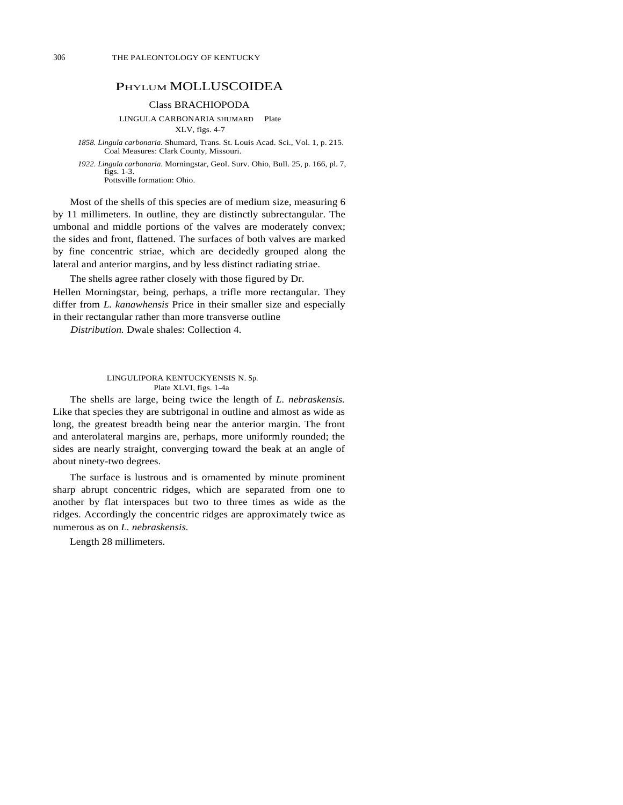## PHYLUM MOLLUSCOIDEA

## Class BRACHIOPODA

LINGULA CARBONARIA SHUMARD Plate

XLV, figs. 4-7

*1858. Lingula carbonaria.* Shumard, Trans. St. Louis Acad. Sci., Vol. 1, p. 215. Coal Measures: Clark County, Missouri.

*1922. Lingula carbonaria.* Morningstar, Geol. Surv. Ohio, Bull. 25, p. 166, pl. 7, figs. 1-3. Pottsville formation: Ohio.

Most of the shells of this species are of medium size, measuring 6 by 11 millimeters. In outline, they are distinctly subrectangular. The umbonal and middle portions of the valves are moderately convex; the sides and front, flattened. The surfaces of both valves are marked by fine concentric striae, which are decidedly grouped along the lateral and anterior margins, and by less distinct radiating striae.

The shells agree rather closely with those figured by Dr. Hellen Morningstar, being, perhaps, a trifle more rectangular. They differ from *L. kanawhensis* Price in their smaller size and especially in their rectangular rather than more transverse outline

*Distribution.* Dwale shales: Collection 4.

#### LINGULIPORA KENTUCKYENSIS N. Sp. Plate XLVI, figs. 1-4a

The shells are large, being twice the length of *L. nebraskensis.*  Like that species they are subtrigonal in outline and almost as wide as long, the greatest breadth being near the anterior margin. The front and anterolateral margins are, perhaps, more uniformly rounded; the sides are nearly straight, converging toward the beak at an angle of about ninety-two degrees.

The surface is lustrous and is ornamented by minute prominent sharp abrupt concentric ridges, which are separated from one to another by flat interspaces but two to three times as wide as the ridges. Accordingly the concentric ridges are approximately twice as numerous as on *L. nebraskensis.* 

Length 28 millimeters.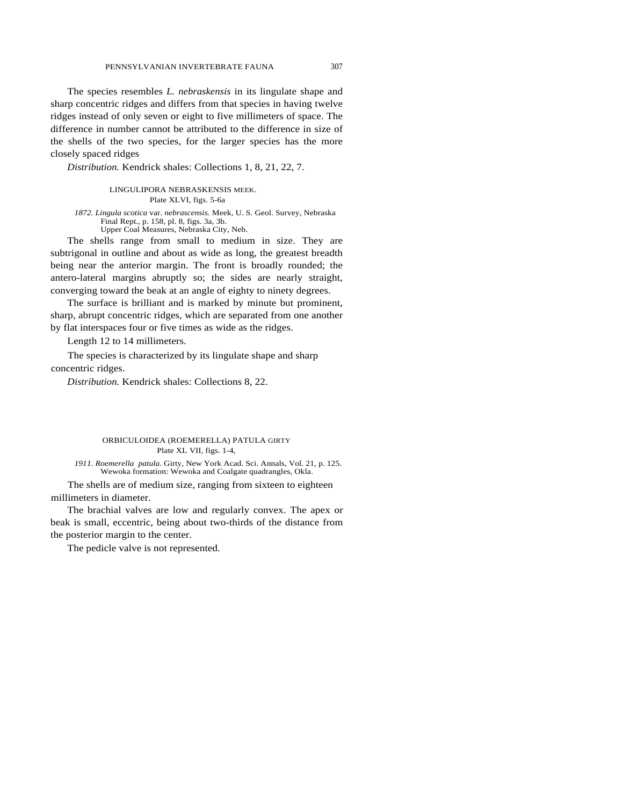The species resembles *L. nebraskensis* in its lingulate shape and sharp concentric ridges and differs from that species in having twelve ridges instead of only seven or eight to five millimeters of space. The difference in number cannot be attributed to the difference in size of the shells of the two species, for the larger species has the more closely spaced ridges

*Distribution.* Kendrick shales: Collections 1, 8, 21, 22, 7.

LINGULIPORA NEBRASKENSIS MEEK. Plate XLVI, figs. 5-6a

*1872. Lingula scotica* var. *nebrascensis.* Meek, U. S. Geol. Survey, Nebraska Final Rept., p. 158, pl. 8, figs. 3a, 3b. Upper Coal Measures, Nebraska City, Neb.

The shells range from small to medium in size. They are subtrigonal in outline and about as wide as long, the greatest breadth being near the anterior margin. The front is broadly rounded; the antero-lateral margins abruptly so; the sides are nearly straight, converging toward the beak at an angle of eighty to ninety degrees.

The surface is brilliant and is marked by minute but prominent, sharp, abrupt concentric ridges, which are separated from one another by flat interspaces four or five times as wide as the ridges.

Length 12 to 14 millimeters.

The species is characterized by its lingulate shape and sharp concentric ridges.

*Distribution.* Kendrick shales: Collections 8, 22.

## ORBICULOIDEA (ROEMERELLA) PATULA GIRTY Plate XL VII, figs. 1-4,

*1911. Roemerella patula.* Girty, New York Acad. Sci. Annals, Vol. 21, p. 125. Wewoka formation: Wewoka and Coalgate quadrangles, Okla.

The shells are of medium size, ranging from sixteen to eighteen millimeters in diameter.

The brachial valves are low and regularly convex. The apex or beak is small, eccentric, being about two-thirds of the distance from the posterior margin to the center.

The pedicle valve is not represented.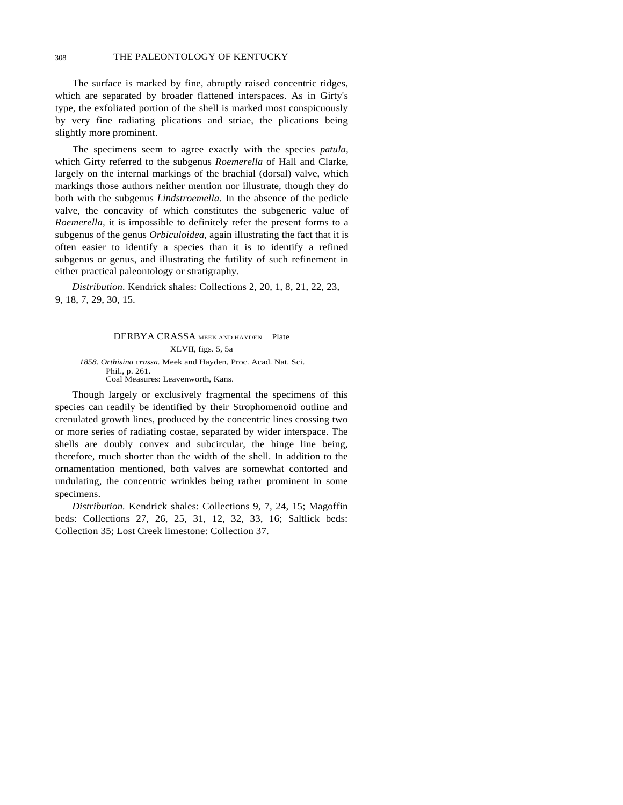## 308 THE PALEONTOLOGY OF KENTUCKY

The surface is marked by fine, abruptly raised concentric ridges, which are separated by broader flattened interspaces. As in Girty's type, the exfoliated portion of the shell is marked most conspicuously by very fine radiating plications and striae, the plications being slightly more prominent.

The specimens seem to agree exactly with the species *patula,*  which Girty referred to the subgenus *Roemerella* of Hall and Clarke, largely on the internal markings of the brachial (dorsal) valve, which markings those authors neither mention nor illustrate, though they do both with the subgenus *Lindstroemella.* In the absence of the pedicle valve, the concavity of which constitutes the subgeneric value of *Roemerella,* it is impossible to definitely refer the present forms to a subgenus of the genus *Orbiculoidea,* again illustrating the fact that it is often easier to identify a species than it is to identify a refined subgenus or genus, and illustrating the futility of such refinement in either practical paleontology or stratigraphy.

*Distribution.* Kendrick shales: Collections 2, 20, 1, 8, 21, 22, 23, 9, 18, 7, 29, 30, 15.

DERBYA CRASSA MEEK AND HAYDEN Plate XLVII, figs. 5, 5a *1858. Orthisina crassa.* Meek and Hayden, Proc. Acad. Nat. Sci. Phil., p. 261. Coal Measures: Leavenworth, Kans.

Though largely or exclusively fragmental the specimens of this species can readily be identified by their Strophomenoid outline and crenulated growth lines, produced by the concentric lines crossing two or more series of radiating costae, separated by wider interspace. The shells are doubly convex and subcircular, the hinge line being, therefore, much shorter than the width of the shell. In addition to the ornamentation mentioned, both valves are somewhat contorted and undulating, the concentric wrinkles being rather prominent in some specimens.

*Distribution.* Kendrick shales: Collections 9, 7, 24, 15; Magoffin beds: Collections 27, 26, 25, 31, 12, 32, 33, 16; Saltlick beds: Collection 35; Lost Creek limestone: Collection 37.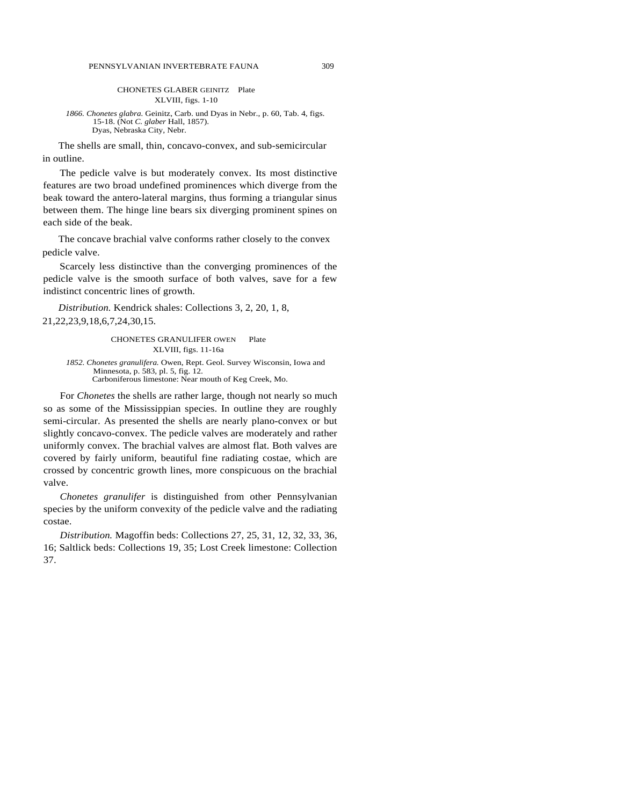#### CHONETES GLABER GEINITZ Plate XLVIII, figs. 1-10

*1866. Chonetes glabra.* Geinitz, Carb. und Dyas in Nebr., p. 60, Tab. 4, figs. 15-18. (Not *C. glaber* Hall, 1857). Dyas, Nebraska City, Nebr.

The shells are small, thin, concavo-convex, and sub-semicircular in outline.

The pedicle valve is but moderately convex. Its most distinctive features are two broad undefined prominences which diverge from the beak toward the antero-lateral margins, thus forming a triangular sinus between them. The hinge line bears six diverging prominent spines on each side of the beak.

The concave brachial valve conforms rather closely to the convex pedicle valve.

Scarcely less distinctive than the converging prominences of the pedicle valve is the smooth surface of both valves, save for a few indistinct concentric lines of growth.

*Distribution.* Kendrick shales: Collections 3, 2, 20, 1, 8, 21,22,23,9,18,6,7,24,30,15.

> CHONETES GRANULIFER OWEN Plate XLVIII, figs. 11-16a

*1852. Chonetes granulifera.* Owen, Rept. Geol. Survey Wisconsin, Iowa and Minnesota, p. 583, pl. 5, fig. 12. Carboniferous limestone: Near mouth of Keg Creek, Mo.

For *Chonetes* the shells are rather large, though not nearly so much so as some of the Mississippian species. In outline they are roughly semi-circular. As presented the shells are nearly plano-convex or but slightly concavo-convex. The pedicle valves are moderately and rather uniformly convex. The brachial valves are almost flat. Both valves are covered by fairly uniform, beautiful fine radiating costae, which are crossed by concentric growth lines, more conspicuous on the brachial valve.

*Chonetes granulifer* is distinguished from other Pennsylvanian species by the uniform convexity of the pedicle valve and the radiating costae.

*Distribution.* Magoffin beds: Collections 27, 25, 31, 12, 32, 33, 36, 16; Saltlick beds: Collections 19, 35; Lost Creek limestone: Collection 37.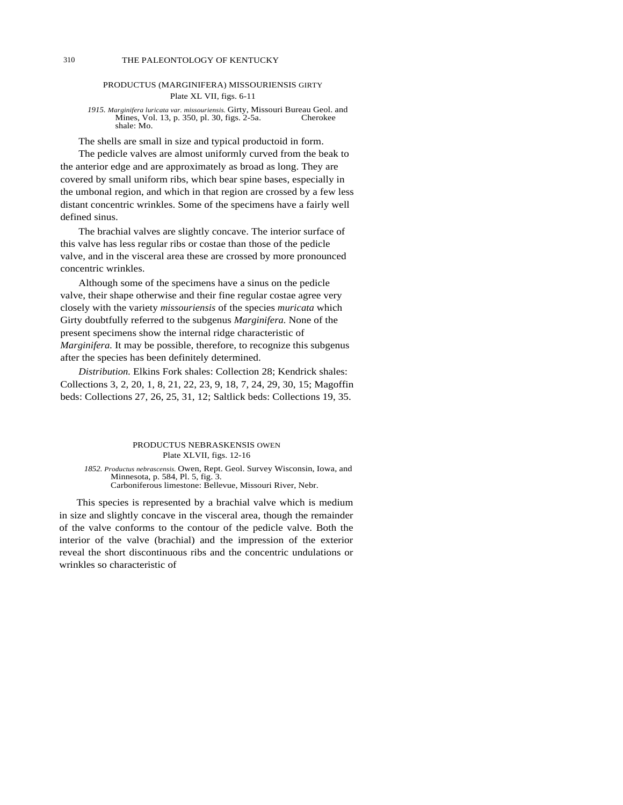## PRODUCTUS (MARGINIFERA) MISSOURIENSIS GIRTY Plate XL VII, figs. 6-11

1915. *Marginifera luricata var. missouriensis*. Girty, Missouri Bureau Geol. and Mines, Vol. 13, p. 350, pl. 30, figs. 2-5a. Cherokee shale: Mo.

The shells are small in size and typical productoid in form.

The pedicle valves are almost uniformly curved from the beak to the anterior edge and are approximately as broad as long. They are covered by small uniform ribs, which bear spine bases, especially in the umbonal region, and which in that region are crossed by a few less distant concentric wrinkles. Some of the specimens have a fairly well defined sinus.

The brachial valves are slightly concave. The interior surface of this valve has less regular ribs or costae than those of the pedicle valve, and in the visceral area these are crossed by more pronounced concentric wrinkles.

Although some of the specimens have a sinus on the pedicle valve, their shape otherwise and their fine regular costae agree very closely with the variety *missouriensis* of the species *muricata* which Girty doubtfully referred to the subgenus *Marginifera.* None of the present specimens show the internal ridge characteristic of *Marginifera.* It may be possible, therefore, to recognize this subgenus after the species has been definitely determined.

*Distribution.* Elkins Fork shales: Collection 28; Kendrick shales: Collections 3, 2, 20, 1, 8, 21, 22, 23, 9, 18, 7, 24, 29, 30, 15; Magoffin beds: Collections 27, 26, 25, 31, 12; Saltlick beds: Collections 19, 35.

#### PRODUCTUS NEBRASKENSIS OWEN Plate XLVII, figs. 12-16

*1852. Productus nebrascensis.* Owen, Rept. Geol. Survey Wisconsin, Iowa, and Minnesota, p. 584, Pl. 5, fig. 3. Carboniferous limestone: Bellevue, Missouri River, Nebr.

This species is represented by a brachial valve which is medium in size and slightly concave in the visceral area, though the remainder of the valve conforms to the contour of the pedicle valve. Both the interior of the valve (brachial) and the impression of the exterior reveal the short discontinuous ribs and the concentric undulations or wrinkles so characteristic of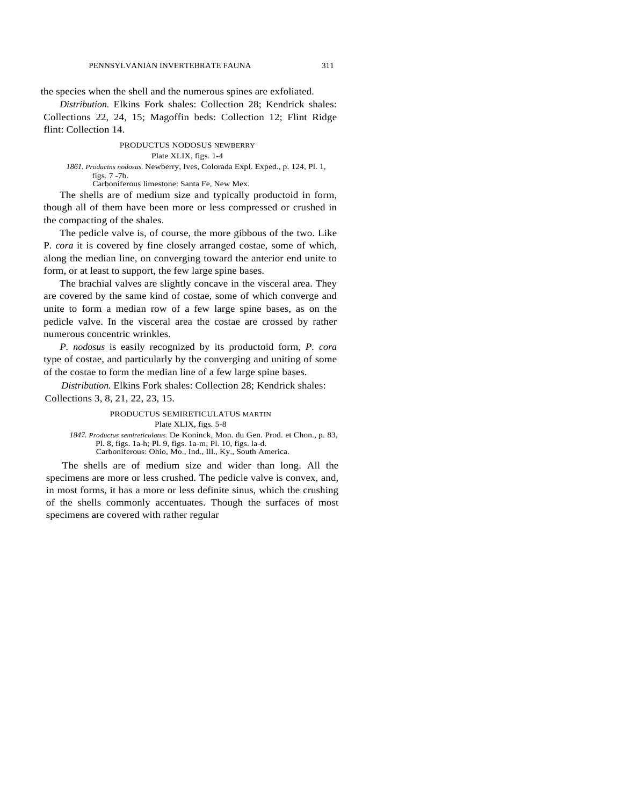the species when the shell and the numerous spines are exfoliated.

*Distribution.* Elkins Fork shales: Collection 28; Kendrick shales: Collections 22, 24, 15; Magoffin beds: Collection 12; Flint Ridge flint: Collection 14.

PRODUCTUS NODOSUS NEWBERRY

## Plate XLIX, figs. 1-4

*1861. Productns nodosus.* Newberry, Ives, Colorada Expl. Exped., p. 124, Pl. 1, figs. 7 -7b. Carboniferous limestone: Santa Fe, New Mex.

The shells are of medium size and typically productoid in form, though all of them have been more or less compressed or crushed in the compacting of the shales.

The pedicle valve is, of course, the more gibbous of the two. Like P. *cora* it is covered by fine closely arranged costae, some of which, along the median line, on converging toward the anterior end unite to form, or at least to support, the few large spine bases.

The brachial valves are slightly concave in the visceral area. They are covered by the same kind of costae, some of which converge and unite to form a median row of a few large spine bases, as on the pedicle valve. In the visceral area the costae are crossed by rather numerous concentric wrinkles.

*P. nodosus* is easily recognized by its productoid form, *P. cora* type of costae, and particularly by the converging and uniting of some of the costae to form the median line of a few large spine bases.

*Distribution.* Elkins Fork shales: Collection 28; Kendrick shales: Collections 3, 8, 21, 22, 23, 15.

#### PRODUCTUS SEMIRETICULATUS MARTIN Plate XLIX, figs. 5-8 *1847. Productus semireticulatus.* De Koninck, Mon. du Gen. Prod. et Chon., p. 83, Pl. 8, figs. 1a-h; Pl. 9, figs. 1a-m; Pl. 10, figs. la-d.

Carboniferous: Ohio, Mo., Ind., Ill., Ky., South America. The shells are of medium size and wider than long. All the specimens are more or less crushed. The pedicle valve is convex, and,

in most forms, it has a more or less definite sinus, which the crushing of the shells commonly accentuates. Though the surfaces of most specimens are covered with rather regular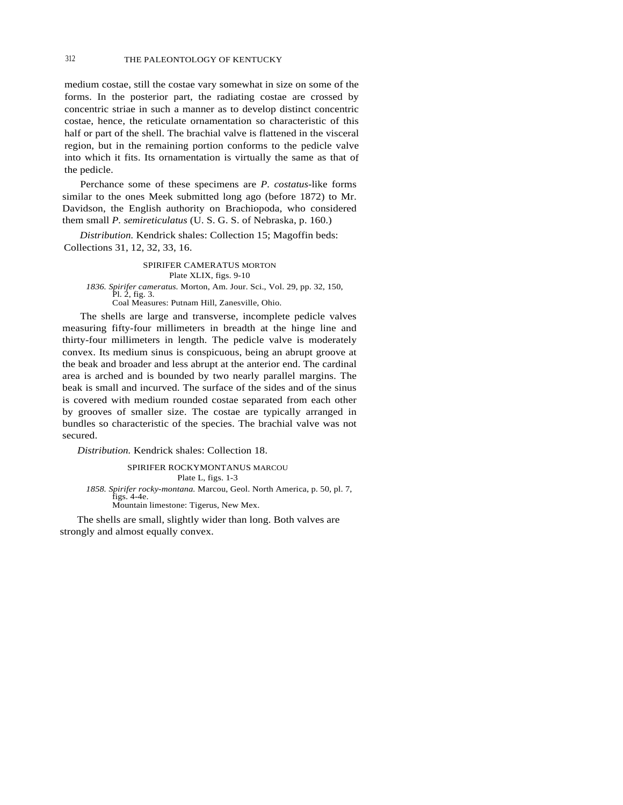## 312 THE PALEONTOLOGY OF KENTUCKY

medium costae, still the costae vary somewhat in size on some of the forms. In the posterior part, the radiating costae are crossed by concentric striae in such a manner as to develop distinct concentric costae, hence, the reticulate ornamentation so characteristic of this half or part of the shell. The brachial valve is flattened in the visceral region, but in the remaining portion conforms to the pedicle valve into which it fits. Its ornamentation is virtually the same as that of the pedicle.

Perchance some of these specimens are *P. costatus-*like forms similar to the ones Meek submitted long ago (before 1872) to Mr. Davidson, the English authority on Brachiopoda, who considered them small *P. semireticulatus* (U. S. G. S. of Nebraska, p. 160.)

*Distribution.* Kendrick shales: Collection 15; Magoffin beds: Collections 31, 12, 32, 33, 16.

SPIRIFER CAMERATUS MORTON Plate XLIX, figs. 9-10 *1836. Spirifer cameratus.* Morton, Am. Jour. Sci., Vol. 29, pp. 32, 150, Pl. 2, fig. 3. Coal Measures: Putnam Hill, Zanesville, Ohio.

The shells are large and transverse, incomplete pedicle valves measuring fifty-four millimeters in breadth at the hinge line and thirty-four millimeters in length. The pedicle valve is moderately convex. Its medium sinus is conspicuous, being an abrupt groove at the beak and broader and less abrupt at the anterior end. The cardinal area is arched and is bounded by two nearly parallel margins. The beak is small and incurved. The surface of the sides and of the sinus is covered with medium rounded costae separated from each other by grooves of smaller size. The costae are typically arranged in bundles so characteristic of the species. The brachial valve was not secured.

*Distribution.* Kendrick shales: Collection 18.

SPIRIFER ROCKYMONTANUS MARCOU Plate L, figs. 1-3 *1858. Spirifer rocky-montana.* Marcou, Geol. North America, p. 50, pl. 7, figs. 4-4e. Mountain limestone: Tigerus, New Mex.

The shells are small, slightly wider than long. Both valves are strongly and almost equally convex.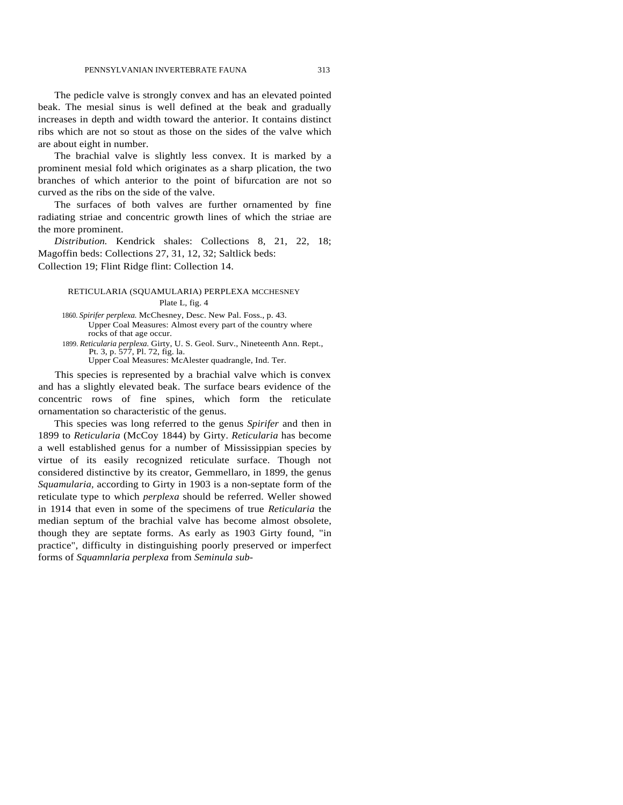The pedicle valve is strongly convex and has an elevated pointed beak. The mesial sinus is well defined at the beak and gradually increases in depth and width toward the anterior. It contains distinct ribs which are not so stout as those on the sides of the valve which are about eight in number.

The brachial valve is slightly less convex. It is marked by a prominent mesial fold which originates as a sharp plication, the two branches of which anterior to the point of bifurcation are not so curved as the ribs on the side of the valve.

The surfaces of both valves are further ornamented by fine radiating striae and concentric growth lines of which the striae are the more prominent.

*Distribution.* Kendrick shales: Collections 8, 21, 22, 18; Magoffin beds: Collections 27, 31, 12, 32; Saltlick beds: Collection 19; Flint Ridge flint: Collection 14.

## RETICULARIA (SQUAMULARIA) PERPLEXA MCCHESNEY Plate L, fig. 4

1860. *Spirifer perplexa.* McChesney, Desc. New Pal. Foss., p. 43. Upper Coal Measures: Almost every part of the country where rocks of that age occur.

1899. *Reticularia perplexa.* Girty, U. S. Geol. Surv., Nineteenth Ann. Rept., Pt. 3, p. 577, Pl. 72, fig. la. Upper Coal Measures: McAlester quadrangle, Ind. Ter.

This species is represented by a brachial valve which is convex and has a slightly elevated beak. The surface bears evidence of the concentric rows of fine spines, which form the reticulate ornamentation so characteristic of the genus.

This species was long referred to the genus *Spirifer* and then in 1899 to *Reticularia* (McCoy 1844) by Girty. *Reticularia* has become a well established genus for a number of Mississippian species by virtue of its easily recognized reticulate surface. Though not considered distinctive by its creator, Gemmellaro, in 1899, the genus *Squamularia,* according to Girty in 1903 is a non-septate form of the reticulate type to which *perplexa* should be referred. Weller showed in 1914 that even in some of the specimens of true *Reticularia* the median septum of the brachial valve has become almost obsolete, though they are septate forms. As early as 1903 Girty found, "in practice", difficulty in distinguishing poorly preserved or imperfect forms of *Squamnlaria perplexa* from *Seminula sub-*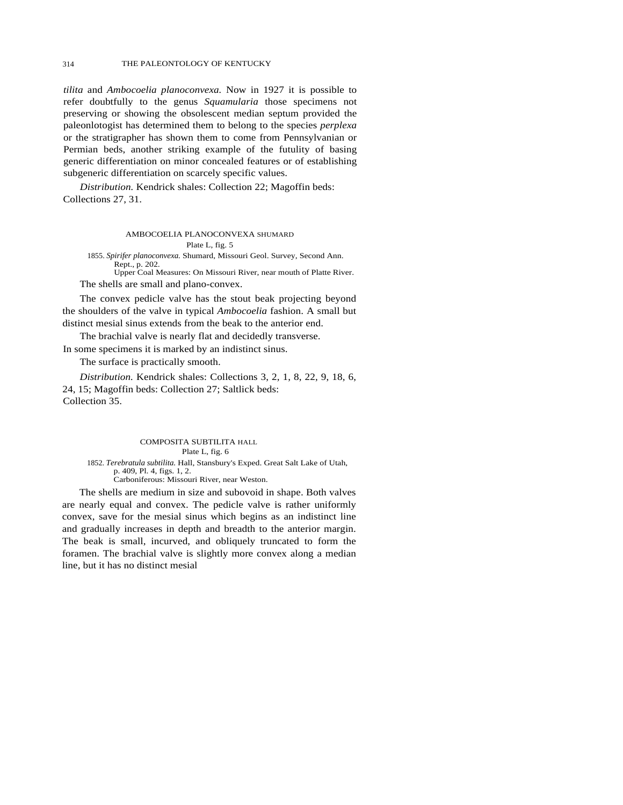*tilita* and *Ambocoelia planoconvexa.* Now in 1927 it is possible to refer doubtfully to the genus *Squamularia* those specimens not preserving or showing the obsolescent median septum provided the paleonlotogist has determined them to belong to the species *perplexa*  or the stratigrapher has shown them to come from Pennsylvanian or Permian beds, another striking example of the futulity of basing generic differentiation on minor concealed features or of establishing subgeneric differentiation on scarcely specific values.

*Distribution.* Kendrick shales: Collection 22; Magoffin beds: Collections 27, 31.

> AMBOCOELIA PLANOCONVEXA SHUMARD Plate L, fig. 5

1855. *Spirifer planoconvexa.* Shumard, Missouri Geol. Survey, Second Ann. Rept., p. 202.

Upper Coal Measures: On Missouri River, near mouth of Platte River. The shells are small and plano-convex.

The convex pedicle valve has the stout beak projecting beyond the shoulders of the valve in typical *Ambocoelia* fashion. A small but distinct mesial sinus extends from the beak to the anterior end.

The brachial valve is nearly flat and decidedly transverse. In some specimens it is marked by an indistinct sinus.

The surface is practically smooth.

*Distribution.* Kendrick shales: Collections 3, 2, 1, 8, 22, 9, 18, 6, 24, 15; Magoffin beds: Collection 27; Saltlick beds: Collection 35.

## COMPOSITA SUBTILITA HALL Plate L, fig. 6

1852. *Terebratula subtilita.* Hall, Stansbury's Exped. Great Salt Lake of Utah, p. 409, Pl. 4, figs. 1, 2. Carboniferous: Missouri River, near Weston.

The shells are medium in size and subovoid in shape. Both valves are nearly equal and convex. The pedicle valve is rather uniformly convex, save for the mesial sinus which begins as an indistinct line and gradually increases in depth and breadth to the anterior margin. The beak is small, incurved, and obliquely truncated to form the foramen. The brachial valve is slightly more convex along a median line, but it has no distinct mesial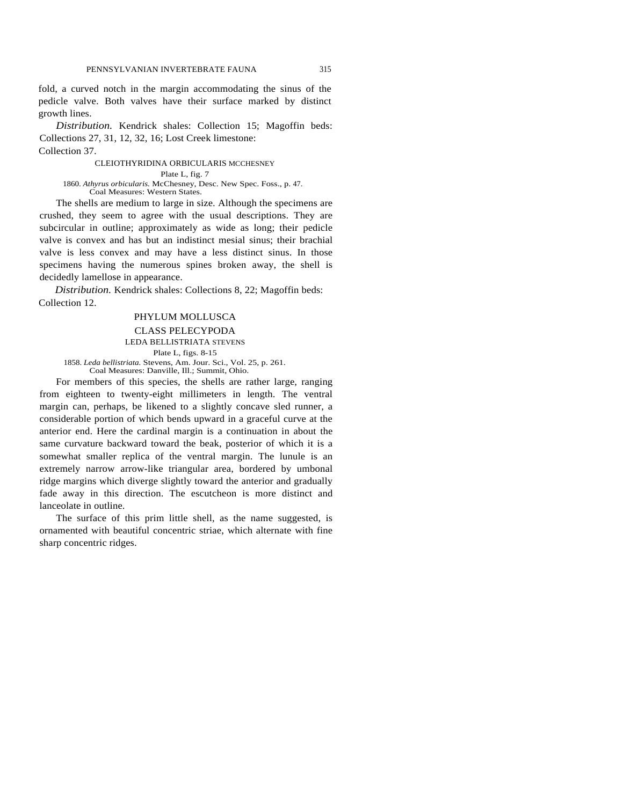fold, a curved notch in the margin accommodating the sinus of the pedicle valve. Both valves have their surface marked by distinct growth lines.

*Distribution.* Kendrick shales: Collection 15; Magoffin beds: Collections 27, 31, 12, 32, 16; Lost Creek limestone: Collection 37.

#### CLEIOTHYRIDINA ORBICULARIS MCCHESNEY

Plate L, fig. 7

1860. *Athyrus orbicularis.* McChesney, Desc. New Spec. Foss., p. 47. Coal Measures: Western States.

The shells are medium to large in size. Although the specimens are crushed, they seem to agree with the usual descriptions. They are subcircular in outline; approximately as wide as long; their pedicle valve is convex and has but an indistinct mesial sinus; their brachial valve is less convex and may have a less distinct sinus. In those specimens having the numerous spines broken away, the shell is decidedly lamellose in appearance.

*Distribution.* Kendrick shales: Collections 8, 22; Magoffin beds: Collection 12.

## PHYLUM MOLLUSCA CLASS PELECYPODA LEDA BELLISTRIATA STEVENS Plate L, figs. 8-15

1858. *Leda bellistriata.* Stevens, Am. Jour. Sci., Vol. 25, p. 261.

Coal Measures: Danville, Ill.; Summit, Ohio.

For members of this species, the shells are rather large, ranging from eighteen to twenty-eight millimeters in length. The ventral margin can, perhaps, be likened to a slightly concave sled runner, a considerable portion of which bends upward in a graceful curve at the anterior end. Here the cardinal margin is a continuation in about the same curvature backward toward the beak, posterior of which it is a somewhat smaller replica of the ventral margin. The lunule is an extremely narrow arrow-like triangular area, bordered by umbonal ridge margins which diverge slightly toward the anterior and gradually fade away in this direction. The escutcheon is more distinct and lanceolate in outline.

The surface of this prim little shell, as the name suggested, is ornamented with beautiful concentric striae, which alternate with fine sharp concentric ridges.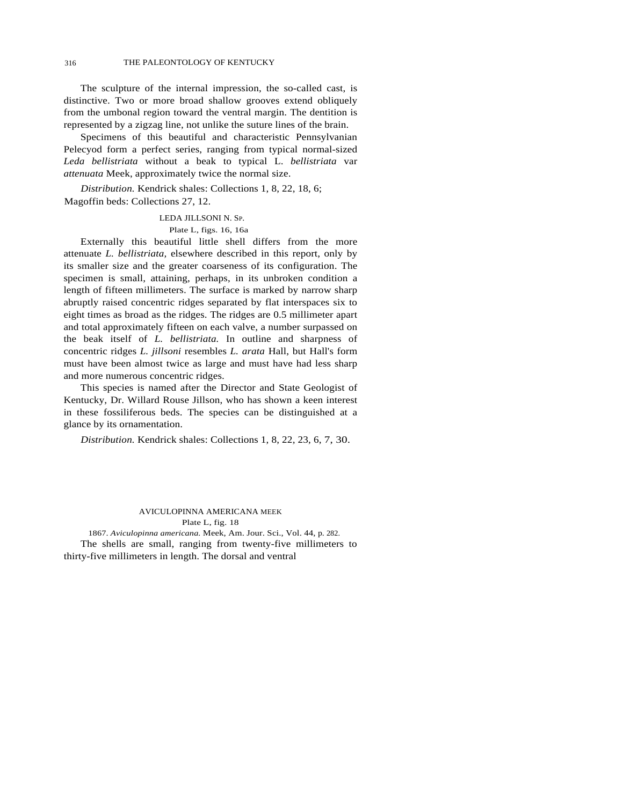## 316 THE PALEONTOLOGY OF KENTUCKY

The sculpture of the internal impression, the so-called cast, is distinctive. Two or more broad shallow grooves extend obliquely from the umbonal region toward the ventral margin. The dentition is represented by a zigzag line, not unlike the suture lines of the brain.

Specimens of this beautiful and characteristic Pennsylvanian Pelecyod form a perfect series, ranging from typical normal-sized *Leda bellistriata* without a beak to typical L. *bellistriata* var *attenuata* Meek, approximately twice the normal size.

*Distribution.* Kendrick shales: Collections 1, 8, 22, 18, 6; Magoffin beds: Collections 27, 12.

## LEDA JILLSONI N. SP.

## Plate L, figs. 16, 16a

Externally this beautiful little shell differs from the more attenuate *L. bellistriata,* elsewhere described in this report, only by its smaller size and the greater coarseness of its configuration. The specimen is small, attaining, perhaps, in its unbroken condition a length of fifteen millimeters. The surface is marked by narrow sharp abruptly raised concentric ridges separated by flat interspaces six to eight times as broad as the ridges. The ridges are 0.5 millimeter apart and total approximately fifteen on each valve, a number surpassed on the beak itself of *L. bellistriata.* In outline and sharpness of concentric ridges *L. jillsoni* resembles *L. arata* Hall, but Hall's form must have been almost twice as large and must have had less sharp and more numerous concentric ridges.

This species is named after the Director and State Geologist of Kentucky, Dr. Willard Rouse Jillson, who has shown a keen interest in these fossiliferous beds. The species can be distinguished at a glance by its ornamentation.

*Distribution.* Kendrick shales: Collections 1, 8, 22, 23, 6, 7, 30.

## AVICULOPINNA AMERICANA MEEK

Plate L, fig. 18

1867. *Aviculopinna americana.* Meek, Am. Jour. Sci., Vol. 44, p. 282. The shells are small, ranging from twenty-five millimeters to thirty-five millimeters in length. The dorsal and ventral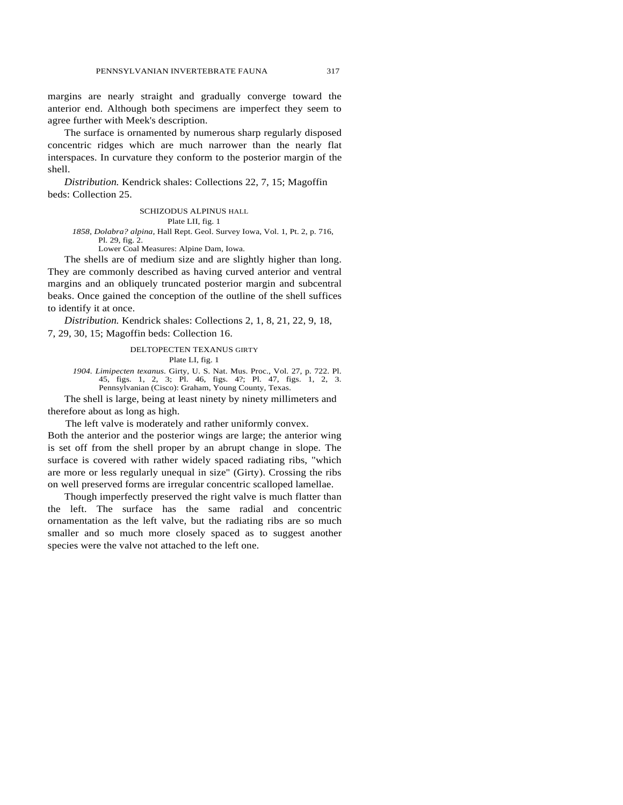margins are nearly straight and gradually converge toward the anterior end. Although both specimens are imperfect they seem to agree further with Meek's description.

The surface is ornamented by numerous sharp regularly disposed concentric ridges which are much narrower than the nearly flat interspaces. In curvature they conform to the posterior margin of the shell.

*Distribution.* Kendrick shales: Collections 22, 7, 15; Magoffin beds: Collection 25.

#### SCHIZODUS ALPINUS HALL

Plate LII, fig. 1

#### *1858, Dolabra? alpina,* Hall Rept. Geol. Survey Iowa, Vol. 1, Pt. 2, p. 716, Pl. 29, fig. 2. Lower Coal Measures: Alpine Dam, Iowa.

The shells are of medium size and are slightly higher than long. They are commonly described as having curved anterior and ventral margins and an obliquely truncated posterior margin and subcentral beaks. Once gained the conception of the outline of the shell suffices to identify it at once.

*Distribution.* Kendrick shales: Collections 2, 1, 8, 21, 22, 9, 18, 7, 29, 30, 15; Magoffin beds: Collection 16.

> DELTOPECTEN TEXANUS GIRTY Plate LI, fig. 1

*1904. Limipecten texanus.* Girty, U. S. Nat. Mus. Proc., Vol. 27, p. 722. Pl. 45, figs. 1, 2, 3; Pl. 46, figs. 4?; Pl. 47, figs. 1, 2, 3. Pennsylvanian (Cisco): Graham, Young County, Texas.

The shell is large, being at least ninety by ninety millimeters and therefore about as long as high.

The left valve is moderately and rather uniformly convex.

Both the anterior and the posterior wings are large; the anterior wing is set off from the shell proper by an abrupt change in slope. The surface is covered with rather widely spaced radiating ribs, "which are more or less regularly unequal in size" (Girty). Crossing the ribs on well preserved forms are irregular concentric scalloped lamellae.

Though imperfectly preserved the right valve is much flatter than the left. The surface has the same radial and concentric ornamentation as the left valve, but the radiating ribs are so much smaller and so much more closely spaced as to suggest another species were the valve not attached to the left one.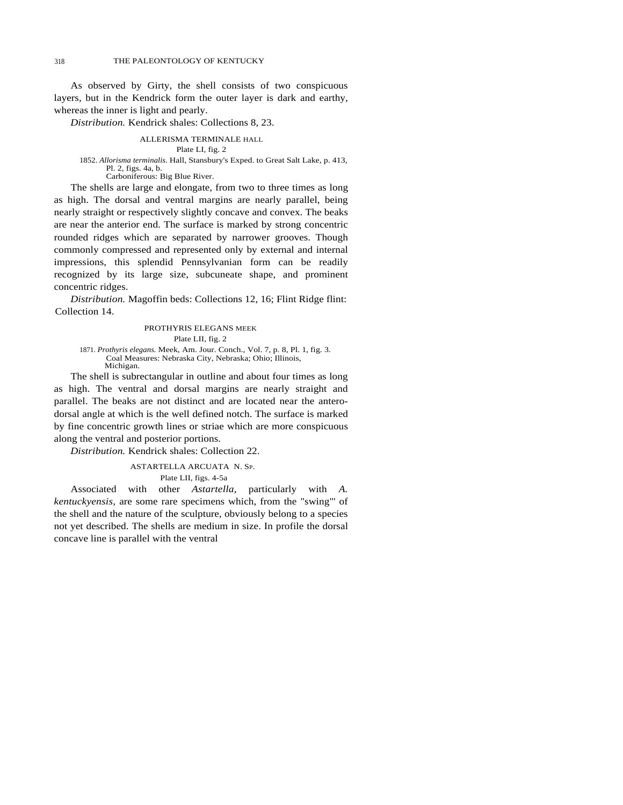318 THE PALEONTOLOGY OF KENTUCKY

As observed by Girty, the shell consists of two conspicuous layers, but in the Kendrick form the outer layer is dark and earthy, whereas the inner is light and pearly.

*Distribution.* Kendrick shales: Collections 8, 23.

## ALLERISMA TERMINALE HALL

## Plate LI, fig. 2

1852. *Allorisma terminalis.* Hall, Stansbury's Exped. to Great Salt Lake, p. 413, Pl. 2, figs. 4a, b.

Carboniferous: Big Blue River.

The shells are large and elongate, from two to three times as long as high. The dorsal and ventral margins are nearly parallel, being nearly straight or respectively slightly concave and convex. The beaks are near the anterior end. The surface is marked by strong concentric rounded ridges which are separated by narrower grooves. Though commonly compressed and represented only by external and internal impressions, this splendid Pennsylvanian form can be readily recognized by its large size, subcuneate shape, and prominent concentric ridges.

*Distribution.* Magoffin beds: Collections 12, 16; Flint Ridge flint: Collection 14.

#### PROTHYRIS ELEGANS MEEK

Plate LII, fig. 2

1871. *Prothyris elegans.* Meek, Am. Jour. Conch., Vol. 7, p. 8, Pl. 1, fig. 3. Coal Measures: Nebraska City, Nebraska; Ohio; Illinois, Michigan.

The shell is subrectangular in outline and about four times as long as high. The ventral and dorsal margins are nearly straight and parallel. The beaks are not distinct and are located near the anterodorsal angle at which is the well defined notch. The surface is marked by fine concentric growth lines or striae which are more conspicuous along the ventral and posterior portions.

*Distribution.* Kendrick shales: Collection 22.

## ASTARTELLA ARCUATA N. SP.

#### Plate LII, figs. 4-5a

Associated with other *Astartella,* particularly with *A. kentuckyensis,* are some rare specimens which, from the "swing"' of the shell and the nature of the sculpture, obviously belong to a species not yet described. The shells are medium in size. In profile the dorsal concave line is parallel with the ventral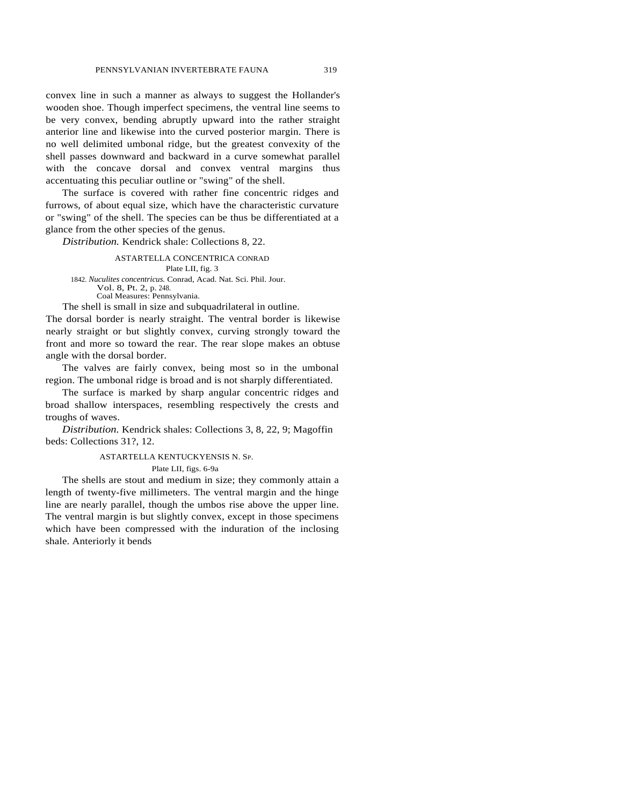convex line in such a manner as always to suggest the Hollander's wooden shoe. Though imperfect specimens, the ventral line seems to be very convex, bending abruptly upward into the rather straight anterior line and likewise into the curved posterior margin. There is no well delimited umbonal ridge, but the greatest convexity of the shell passes downward and backward in a curve somewhat parallel with the concave dorsal and convex ventral margins thus accentuating this peculiar outline or "swing" of the shell.

The surface is covered with rather fine concentric ridges and furrows, of about equal size, which have the characteristic curvature or "swing" of the shell. The species can be thus be differentiated at a glance from the other species of the genus.

*Distribution.* Kendrick shale: Collections 8, 22.

#### ASTARTELLA CONCENTRICA CONRAD

Plate LII, fig. 3 1842. *Nuculites concentricus.* Conrad, Acad. Nat. Sci. Phil. Jour. Vol. 8, Pt. 2, p. 248. Coal Measures: Pennsylvania.

The shell is small in size and subquadrilateral in outline.

The dorsal border is nearly straight. The ventral border is likewise nearly straight or but slightly convex, curving strongly toward the front and more so toward the rear. The rear slope makes an obtuse angle with the dorsal border.

The valves are fairly convex, being most so in the umbonal region. The umbonal ridge is broad and is not sharply differentiated.

The surface is marked by sharp angular concentric ridges and broad shallow interspaces, resembling respectively the crests and troughs of waves.

*Distribution.* Kendrick shales: Collections 3, 8, 22, 9; Magoffin beds: Collections 31?, 12.

#### ASTARTELLA KENTUCKYENSIS N. SP.

Plate LII, figs. 6-9a

The shells are stout and medium in size; they commonly attain a length of twenty-five millimeters. The ventral margin and the hinge line are nearly parallel, though the umbos rise above the upper line. The ventral margin is but slightly convex, except in those specimens which have been compressed with the induration of the inclosing shale. Anteriorly it bends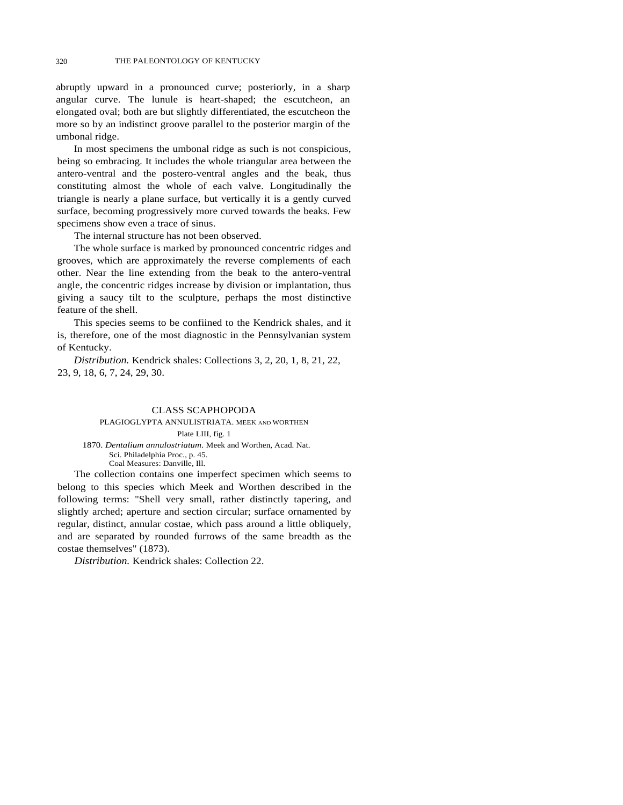abruptly upward in a pronounced curve; posteriorly, in a sharp angular curve. The lunule is heart-shaped; the escutcheon, an elongated oval; both are but slightly differentiated, the escutcheon the more so by an indistinct groove parallel to the posterior margin of the umbonal ridge.

In most specimens the umbonal ridge as such is not conspicious, being so embracing. It includes the whole triangular area between the antero-ventral and the postero-ventral angles and the beak, thus constituting almost the whole of each valve. Longitudinally the triangle is nearly a plane surface, but vertically it is a gently curved surface, becoming progressively more curved towards the beaks. Few specimens show even a trace of sinus.

The internal structure has not been observed.

The whole surface is marked by pronounced concentric ridges and grooves, which are approximately the reverse complements of each other. Near the line extending from the beak to the antero-ventral angle, the concentric ridges increase by division or implantation, thus giving a saucy tilt to the sculpture, perhaps the most distinctive feature of the shell.

This species seems to be confiined to the Kendrick shales, and it is, therefore, one of the most diagnostic in the Pennsylvanian system of Kentucky.

*Distribution.* Kendrick shales: Collections 3, 2, 20, 1, 8, 21, 22, 23, 9, 18, 6, 7, 24, 29, 30.

#### CLASS SCAPHOPODA

#### PLAGIOGLYPTA ANNULISTRIATA. MEEK AND WORTHEN Plate LIII, fig. 1

1870. *Dentalium annulostriatum.* Meek and Worthen, Acad. Nat. Sci. Philadelphia Proc., p. 45. Coal Measures: Danville, Ill.

The collection contains one imperfect specimen which seems to belong to this species which Meek and Worthen described in the following terms: "Shell very small, rather distinctly tapering, and slightly arched; aperture and section circular; surface ornamented by regular, distinct, annular costae, which pass around a little obliquely, and are separated by rounded furrows of the same breadth as the costae themselves" (1873).

*Distribution.* Kendrick shales: Collection 22.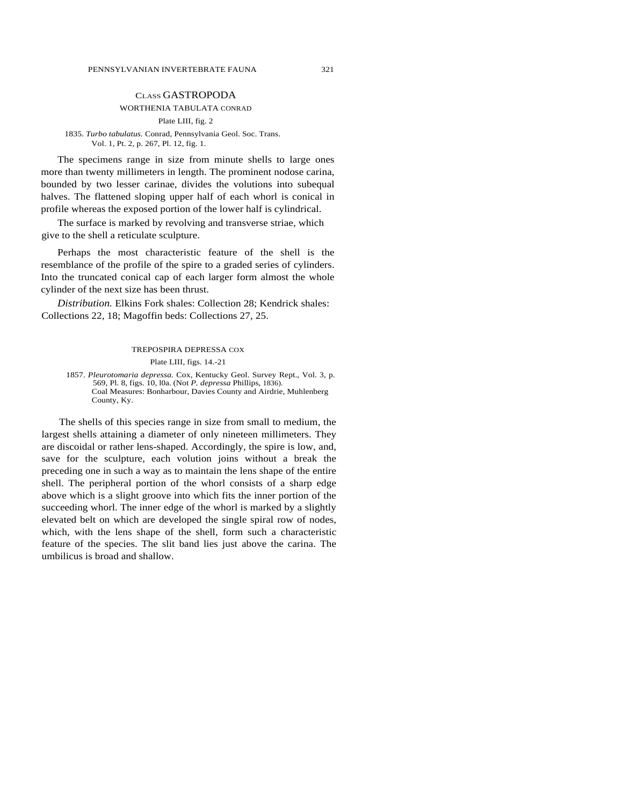## CLASS GASTROPODA

## WORTHENIA TABULATA CONRAD

#### Plate LIII, fig. 2

#### 1835. *Turbo tabulatus.* Conrad, Pennsylvania Geol. Soc. Trans. Vol. 1, Pt. 2, p. 267, Pl. 12, fig. 1.

The specimens range in size from minute shells to large ones more than twenty millimeters in length. The prominent nodose carina, bounded by two lesser carinae, divides the volutions into subequal halves. The flattened sloping upper half of each whorl is conical in profile whereas the exposed portion of the lower half is cylindrical.

The surface is marked by revolving and transverse striae, which give to the shell a reticulate sculpture.

Perhaps the most characteristic feature of the shell is the resemblance of the profile of the spire to a graded series of cylinders. Into the truncated conical cap of each larger form almost the whole cylinder of the next size has been thrust.

*Distribution.* Elkins Fork shales: Collection 28; Kendrick shales: Collections 22, 18; Magoffin beds: Collections 27, 25.

#### TREPOSPIRA DEPRESSA COX

Plate LIII, figs. 14.-21

1857. *Pleurotomaria depressa.* Cox, Kentucky Geol. Survey Rept., Vol. 3, p. 569, Pl. 8, figs. 10, l0a. (Not *P. depressa* Phillips, 1836). Coal Measures: Bonharbour, Davies County and Airdrie, Muhlenberg County, Ky.

The shells of this species range in size from small to medium, the largest shells attaining a diameter of only nineteen millimeters. They are discoidal or rather lens-shaped. Accordingly, the spire is low, and, save for the sculpture, each volution joins without a break the preceding one in such a way as to maintain the lens shape of the entire shell. The peripheral portion of the whorl consists of a sharp edge above which is a slight groove into which fits the inner portion of the succeeding whorl. The inner edge of the whorl is marked by a slightly elevated belt on which are developed the single spiral row of nodes, which, with the lens shape of the shell, form such a characteristic feature of the species. The slit band lies just above the carina. The umbilicus is broad and shallow.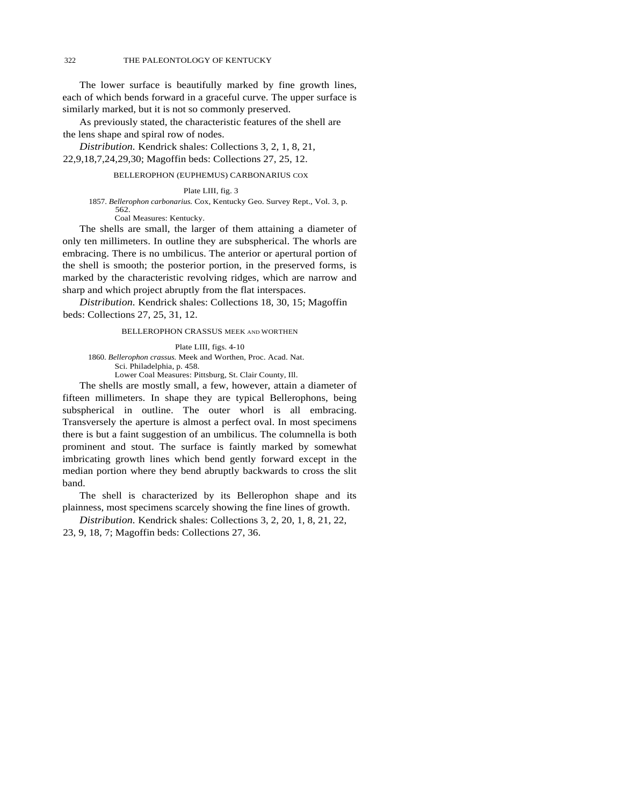## 322 THE PALEONTOLOGY OF KENTUCKY

The lower surface is beautifully marked by fine growth lines, each of which bends forward in a graceful curve. The upper surface is similarly marked, but it is not so commonly preserved.

As previously stated, the characteristic features of the shell are the lens shape and spiral row of nodes.

*Distribution.* Kendrick shales: Collections 3, 2, 1, 8, 21, 22,9,18,7,24,29,30; Magoffin beds: Collections 27, 25, 12.

## BELLEROPHON (EUPHEMUS) CARBONARIUS COX

Plate LIII, fig. 3 1857. *Bellerophon carbonarius.* Cox, Kentucky Geo. Survey Rept., Vol. 3, p. 562. Coal Measures: Kentucky.

The shells are small, the larger of them attaining a diameter of only ten millimeters. In outline they are subspherical. The whorls are embracing. There is no umbilicus. The anterior or apertural portion of the shell is smooth; the posterior portion, in the preserved forms, is marked by the characteristic revolving ridges, which are narrow and sharp and which project abruptly from the flat interspaces.

*Distribution.* Kendrick shales: Collections 18, 30, 15; Magoffin beds: Collections 27, 25, 31, 12.

BELLEROPHON CRASSUS MEEK AND WORTHEN

Plate LIII, figs. 4-10 1860. *Bellerophon crassus.* Meek and Worthen, Proc. Acad. Nat. Sci. Philadelphia, p. 458.

Lower Coal Measures: Pittsburg, St. Clair County, Ill.

The shells are mostly small, a few, however, attain a diameter of fifteen millimeters. In shape they are typical Bellerophons, being subspherical in outline. The outer whorl is all embracing. Transversely the aperture is almost a perfect oval. In most specimens there is but a faint suggestion of an umbilicus. The columnella is both prominent and stout. The surface is faintly marked by somewhat imbricating growth lines which bend gently forward except in the median portion where they bend abruptly backwards to cross the slit band.

The shell is characterized by its Bellerophon shape and its plainness, most specimens scarcely showing the fine lines of growth.

*Distribution.* Kendrick shales: Collections 3, 2, 20, 1, 8, 21, 22, 23, 9, 18, 7; Magoffin beds: Collections 27, 36.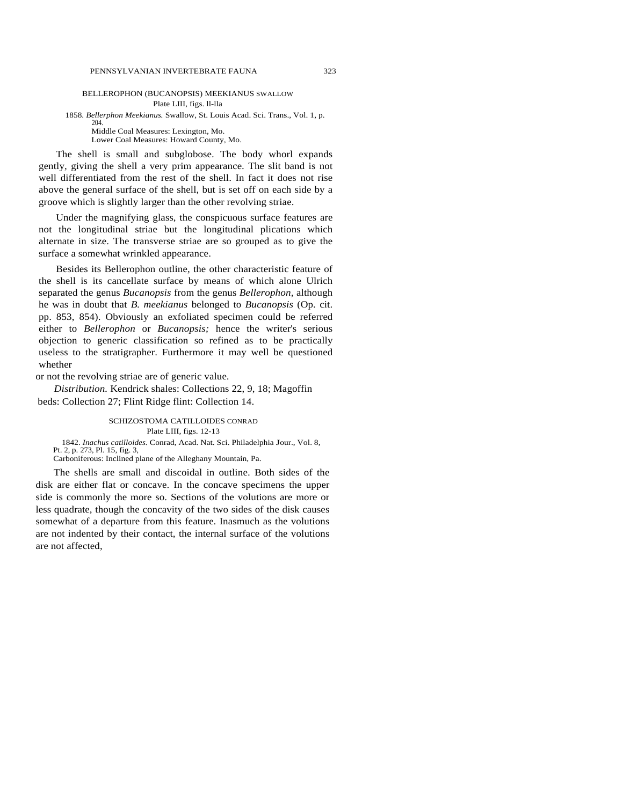#### BELLEROPHON (BUCANOPSIS) MEEKIANUS SWALLOW Plate LIII, figs. ll-lla

1858. *Bellerphon Meekianus.* Swallow, St. Louis Acad. Sci. Trans., Vol. 1, p. 204. Middle Coal Measures: Lexington, Mo. Lower Coal Measures: Howard County, Mo.

The shell is small and subglobose. The body whorl expands gently, giving the shell a very prim appearance. The slit band is not well differentiated from the rest of the shell. In fact it does not rise above the general surface of the shell, but is set off on each side by a groove which is slightly larger than the other revolving striae.

Under the magnifying glass, the conspicuous surface features are not the longitudinal striae but the longitudinal plications which alternate in size. The transverse striae are so grouped as to give the surface a somewhat wrinkled appearance.

Besides its Bellerophon outline, the other characteristic feature of the shell is its cancellate surface by means of which alone Ulrich separated the genus *Bucanopsis* from the genus *Bellerophon,* although he was in doubt that *B. meekianus* belonged to *Bucanopsis* (Op. cit. pp. 853, 854). Obviously an exfoliated specimen could be referred either to *Bellerophon* or *Bucanopsis;* hence the writer's serious objection to generic classification so refined as to be practically useless to the stratigrapher. Furthermore it may well be questioned whether

or not the revolving striae are of generic value.

*Distribution.* Kendrick shales: Collections 22, 9, 18; Magoffin beds: Collection 27; Flint Ridge flint: Collection 14.

> SCHIZOSTOMA CATILLOIDES CONRAD Plate LIII, figs. 12-13

1842. *Inachus catilloides.* Conrad, Acad. Nat. Sci. Philadelphia Jour., Vol. 8, Pt. 2, p. 273, Pl. 15, fig. 3,

Carboniferous: Inclined plane of the Alleghany Mountain, Pa.

The shells are small and discoidal in outline. Both sides of the disk are either flat or concave. In the concave specimens the upper side is commonly the more so. Sections of the volutions are more or less quadrate, though the concavity of the two sides of the disk causes somewhat of a departure from this feature. Inasmuch as the volutions are not indented by their contact, the internal surface of the volutions are not affected,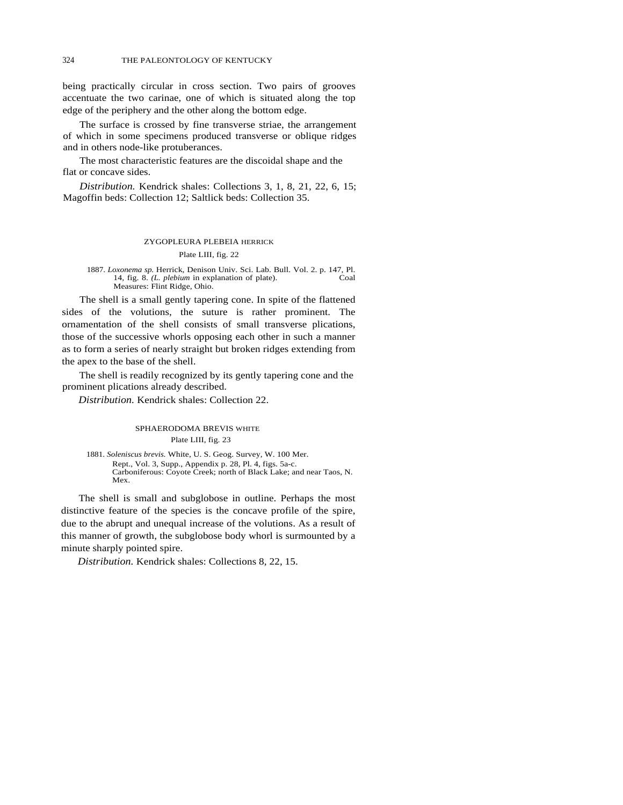being practically circular in cross section. Two pairs of grooves accentuate the two carinae, one of which is situated along the top edge of the periphery and the other along the bottom edge.

The surface is crossed by fine transverse striae, the arrangement of which in some specimens produced transverse or oblique ridges and in others node-like protuberances.

The most characteristic features are the discoidal shape and the flat or concave sides.

*Distribution.* Kendrick shales: Collections 3, 1, 8, 21, 22, 6, 15; Magoffin beds: Collection 12; Saltlick beds: Collection 35.

## ZYGOPLEURA PLEBEIA HERRICK Plate LIII, fig. 22

1887. *Loxonema sp.* Herrick, Denison Univ. Sci. Lab. Bull. Vol. 2. p. 147, Pl. 14, fig. 8. *(L. plebium* in explanation of plate). Measures: Flint Ridge, Ohio.

The shell is a small gently tapering cone. In spite of the flattened sides of the volutions, the suture is rather prominent. The ornamentation of the shell consists of small transverse plications, those of the successive whorls opposing each other in such a manner as to form a series of nearly straight but broken ridges extending from the apex to the base of the shell.

The shell is readily recognized by its gently tapering cone and the prominent plications already described.

*Distribution.* Kendrick shales: Collection 22.

## SPHAERODOMA BREVIS WHITE Plate LIII, fig. 23

1881. *Soleniscus brevis.* White, U. S. Geog. Survey, W. 100 Mer. Rept., Vol. 3, Supp., Appendix p. 28, Pl. 4, figs. 5a-c. Carboniferous: Coyote Creek; north of Black Lake; and near Taos, N. Mex.

The shell is small and subglobose in outline. Perhaps the most distinctive feature of the species is the concave profile of the spire, due to the abrupt and unequal increase of the volutions. As a result of this manner of growth, the subglobose body whorl is surmounted by a minute sharply pointed spire.

*Distribution.* Kendrick shales: Collections 8, 22, 15.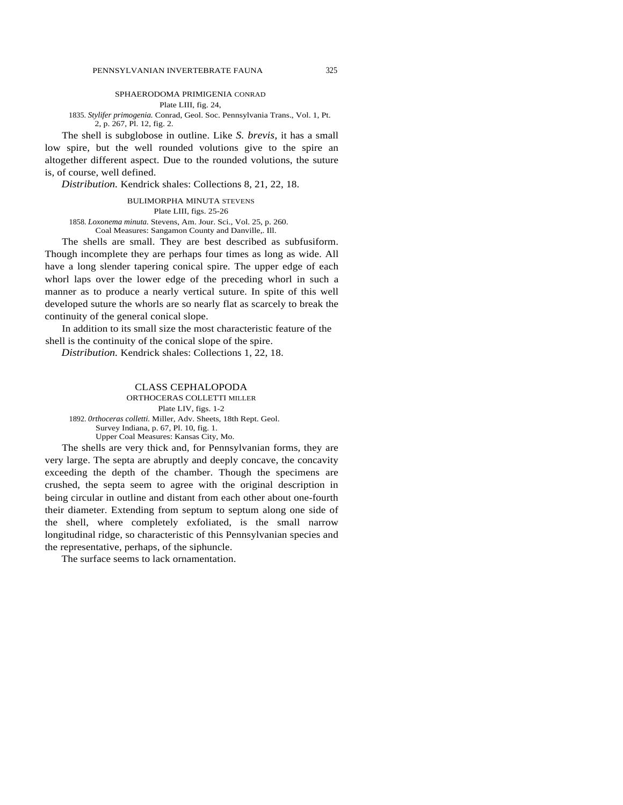## SPHAERODOMA PRIMIGENIA CONRAD

Plate LIII, fig. 24,

1835. *Stylifer primogenia.* Conrad, Geol. Soc. Pennsylvania Trans., Vol. 1, Pt. 2, p. 267, Pl. 12, fig. 2.

The shell is subglobose in outline. Like *S. brevis,* it has a small low spire, but the well rounded volutions give to the spire an altogether different aspect. Due to the rounded volutions, the suture is, of course, well defined.

*Distribution.* Kendrick shales: Collections 8, 21, 22, 18.

BULIMORPHA MINUTA STEVENS Plate LIII, figs. 25-26

1858. *Loxonema minuta.* Stevens, Am. Jour. Sci., Vol. 25, p. 260. Coal Measures: Sangamon County and Danville,. Ill.

The shells are small. They are best described as subfusiform. Though incomplete they are perhaps four times as long as wide. All have a long slender tapering conical spire. The upper edge of each whorl laps over the lower edge of the preceding whorl in such a manner as to produce a nearly vertical suture. In spite of this well developed suture the whorls are so nearly flat as scarcely to break the continuity of the general conical slope.

In addition to its small size the most characteristic feature of the shell is the continuity of the conical slope of the spire.

*Distribution.* Kendrick shales: Collections 1, 22, 18.

## CLASS CEPHALOPODA

ORTHOCERAS COLLETTI MILLER Plate LIV, figs. 1-2 1892. *0rthoceras colletti.* Miller, Adv. Sheets, 18th Rept. Geol. Survey Indiana, p. 67, Pl. 10, fig. 1. Upper Coal Measures: Kansas City, Mo.

The shells are very thick and, for Pennsylvanian forms, they are very large. The septa are abruptly and deeply concave, the concavity exceeding the depth of the chamber. Though the specimens are crushed, the septa seem to agree with the original description in being circular in outline and distant from each other about one-fourth their diameter. Extending from septum to septum along one side of the shell, where completely exfoliated, is the small narrow longitudinal ridge, so characteristic of this Pennsylvanian species and the representative, perhaps, of the siphuncle.

The surface seems to lack ornamentation.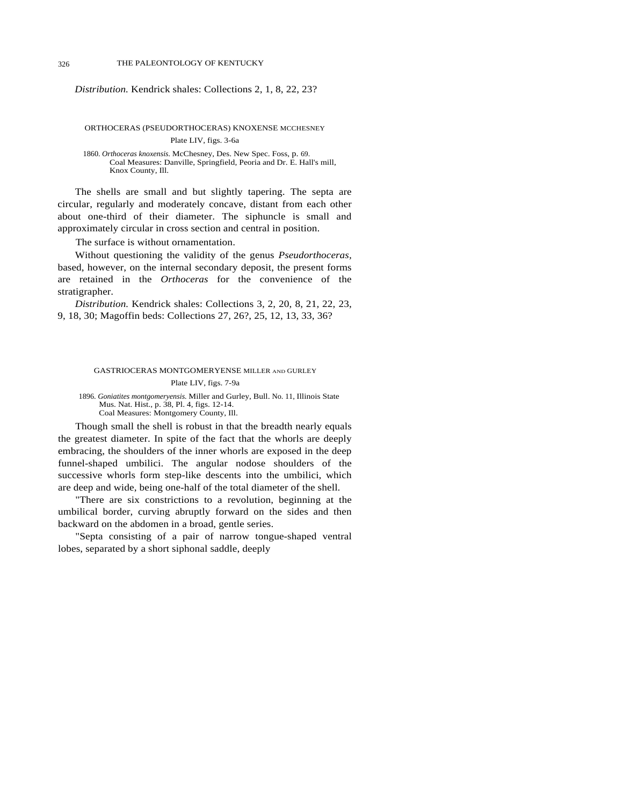## *Distribution.* Kendrick shales: Collections 2, 1, 8, 22, 23?

ORTHOCERAS (PSEUDORTHOCERAS) KNOXENSE MCCHESNEY

Plate LIV, figs. 3-6a 1860. *Orthoceras knoxensis.* McChesney, Des. New Spec. Foss, p. 69. Coal Measures: Danville, Springfield, Peoria and Dr. E. Hall's mill, Knox County, Ill.

The shells are small and but slightly tapering. The septa are circular, regularly and moderately concave, distant from each other about one-third of their diameter. The siphuncle is small and approximately circular in cross section and central in position.

The surface is without ornamentation.

Without questioning the validity of the genus *Pseudorthoceras,*  based, however, on the internal secondary deposit, the present forms are retained in the *Orthoceras* for the convenience of the stratigrapher.

*Distribution.* Kendrick shales: Collections 3, 2, 20, 8, 21, 22, 23, 9, 18, 30; Magoffin beds: Collections 27, 26?, 25, 12, 13, 33, 36?

## GASTRIOCERAS MONTGOMERYENSE MILLER AND GURLEY Plate LIV, figs. 7-9a

1896. *Goniatites montgomeryensis.* Miller and Gurley, Bull. No. 11, Illinois State Mus. Nat. Hist., p. 38, Pl. 4, figs. 12-14. Coal Measures: Montgomery County, Ill.

Though small the shell is robust in that the breadth nearly equals

the greatest diameter. In spite of the fact that the whorls are deeply embracing, the shoulders of the inner whorls are exposed in the deep funnel-shaped umbilici. The angular nodose shoulders of the successive whorls form step-like descents into the umbilici, which are deep and wide, being one-half of the total diameter of the shell.

"There are six constrictions to a revolution, beginning at the umbilical border, curving abruptly forward on the sides and then backward on the abdomen in a broad, gentle series.

"Septa consisting of a pair of narrow tongue-shaped ventral lobes, separated by a short siphonal saddle, deeply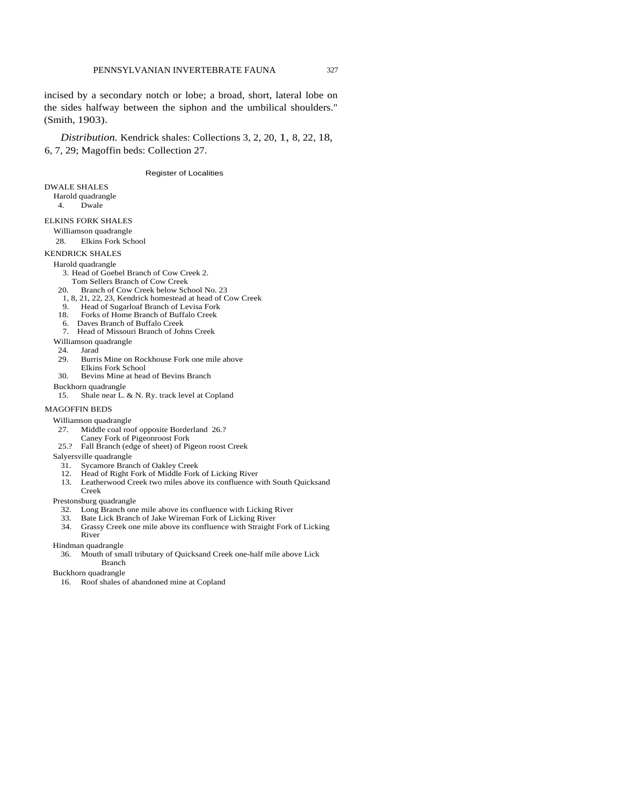incised by a secondary notch or lobe; a broad, short, lateral lobe on the sides halfway between the siphon and the umbilical shoulders." (Smith, 1903).

*Distribution.* Kendrick shales: Collections 3, 2, 20, 1, 8, 22, 18, 6, 7, 29; Magoffin beds: Collection 27.

#### Register of Localities

#### DWALE SHALES

- Harold quadrangle
	- 4. Dwale

#### ELKINS FORK SHALES

- Williamson quadrangle
- 28. Elkins Fork School
- KENDRICK SHALES

- Harold quadrangle
	- 3. Head of Goebel Branch of Cow Creek 2.
- Tom Sellers Branch of Cow Creek<br>20. Branch of Cow Creek below Scl
- Branch of Cow Creek below School No. 23
- 1, 8, 21, 22, 23, Kendrick homestead at head of Cow Creek<br>
9. Head of Sugarloaf Branch of Levisa Fork
- 9. Head of Sugarloaf Branch of Levisa Fork<br>18. Forks of Home Branch of Buffalo Creek Forks of Home Branch of Buffalo Creek
- 6. Daves Branch of Buffalo Creek
- 7. Head of Missouri Branch of Johns Creek
- Williamson quadrangle

#### 24. Jarad

- 
- 29. Burris Mine on Rockhouse Fork one mile above Elkins Fork School
- 30. Bevins Mine at head of Bevins Branch
- Buckhorn quadrangle
- 15. Shale near L. & N. Ry. track level at Copland

## MAGOFFIN BEDS

- Williamson quadrangle<br>27. Middle coal room
	- Middle coal roof opposite Borderland 26.?
	- Caney Fork of Pigeonroost Fork
- 25.? Fall Branch (edge of sheet) of Pigeon roost Creek

#### Salyersville quadrangle

- 31. Sycamore Branch of Oakley Creek
- 12. Head of Right Fork of Middle Fork of Licking River
- 13. Leatherwood Creek two miles above its confluence with South Quicksand Creek
- Prestonsburg quadrangle
	- 32. Long Branch one mile above its confluence with Licking River
	- 33. Bate Lick Branch of Jake Wireman Fork of Licking River
	- Grassy Creek one mile above its confluence with Straight Fork of Licking River
	-
- Hindman quadrangle
	- 36. Mouth of small tributary of Quicksand Creek one-half mile above Lick Branch
- Buckhorn quadrangle
	- 16. Roof shales of abandoned mine at Copland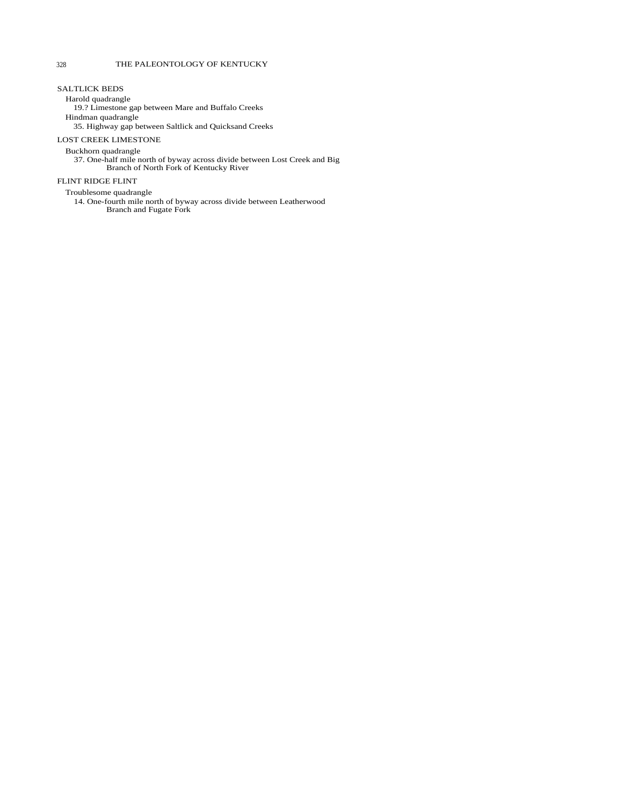## SALTLICK BEDS

Harold quadrangle

19.? Limestone gap between Mare and Buffalo Creeks

Hindman quadrangle

35. Highway gap between Saltlick and Quicksand Creeks

## LOST CREEK LIMESTONE

Buckhorn quadrangle

37. One-half mile north of byway across divide between Lost Creek and Big Branch of North Fork of Kentucky River

## FLINT RIDGE FLINT

Troublesome quadrangle

14. One-fourth mile north of byway across divide between Leatherwood Branch and Fugate Fork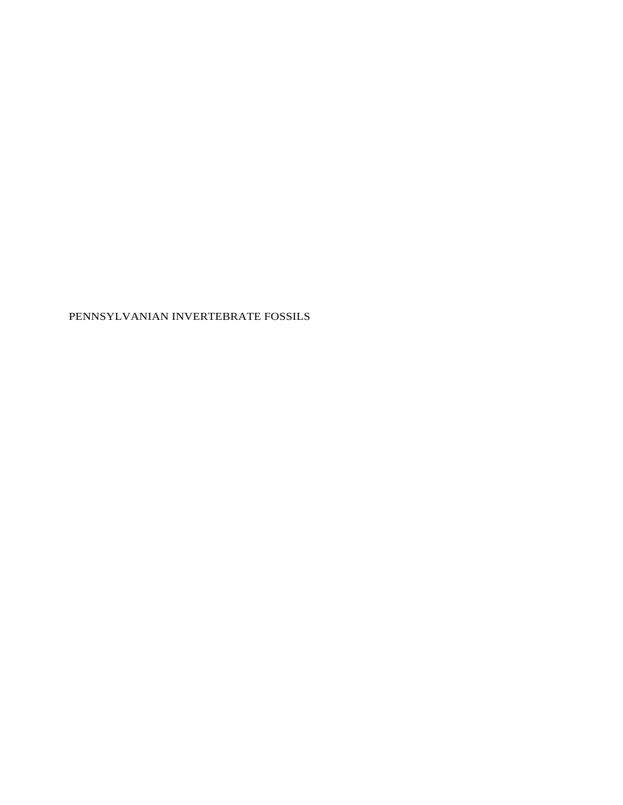PENNSYLVANIAN INVERTEBRATE FOSSILS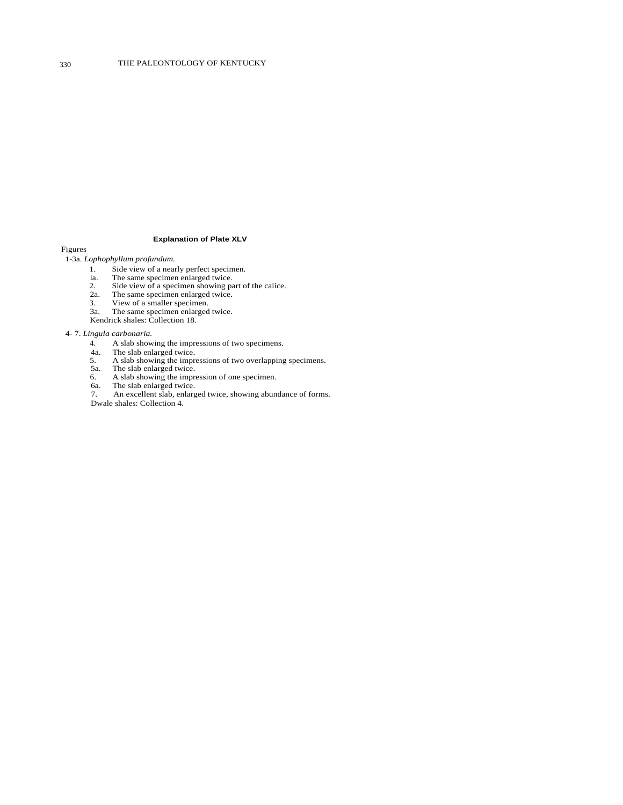#### **Explanation of Plate XLV**

Figures

## 1-3a. *Lophophyllum profundum.*

- 1. Side view of a nearly perfect specimen.
- la. The same specimen enlarged twice.
- 2. The same specimen enlarged twice.<br>
2. Side view of a specimen showing part of the calice.<br>
2a. The same specimen enlarged twice.
- 2a. The same specimen enlarged twice.<br>3. View of a smaller specimen.
- View of a smaller specimen.
- 3a. The same specimen enlarged twice.
- Kendrick shales: Collection 18.

#### 4- 7. *Lingula carbonaria.*

- 4. A slab showing the impressions of two specimens.<br>4a. The slab enlarged twice.
- 
- 4a. The slab enlarged twice. 5. A slab showing the impressions of two overlapping specimens.
- 5a. The slab enlarged twice.
- 6. A slab showing the impression of one specimen.
- 6a. The slab enlarged twice.
- 7. An excellent slab, enlarged twice, showing abundance of forms. Dwale shales: Collection 4.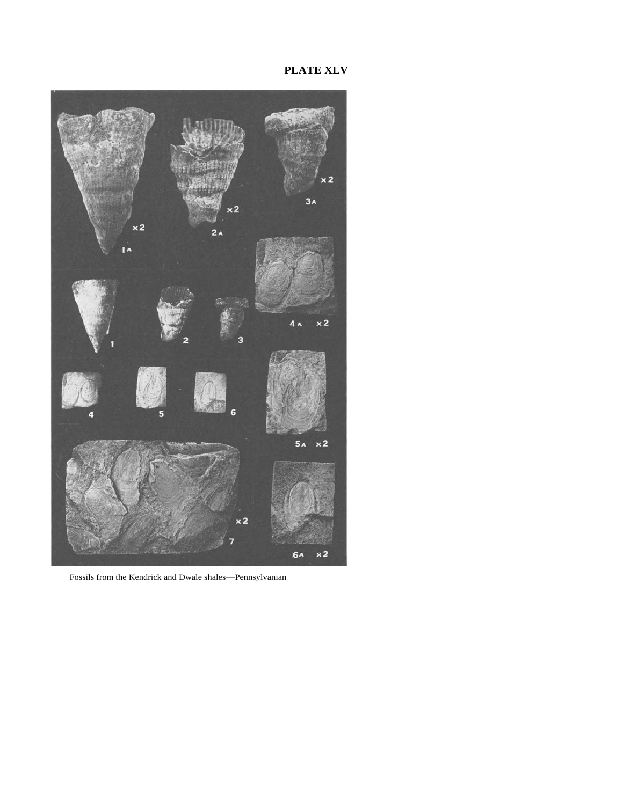**PLATE XLV** 



Fossils from the Kendrick and Dwale shales—Pennsylvanian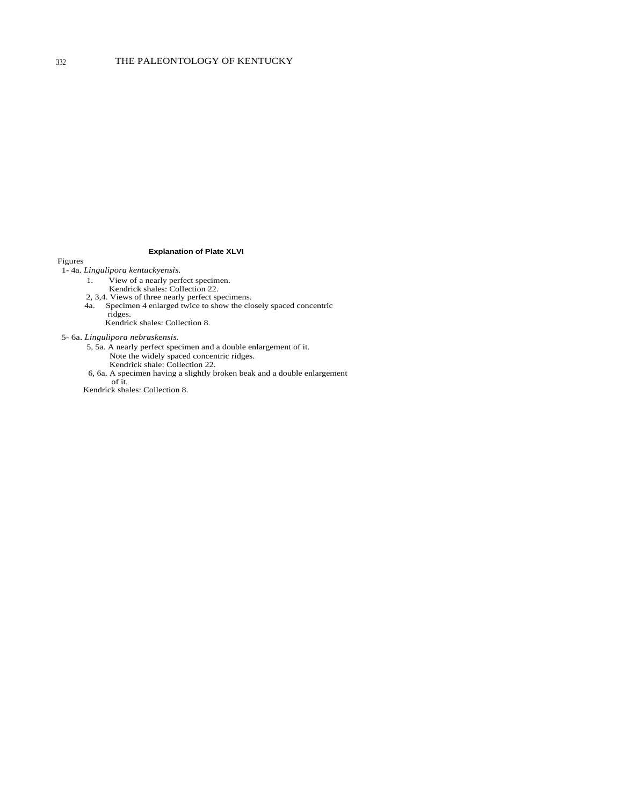## **Explanation of Plate XLVI**

Figures 1**-** 4a. *Lingulipora kentuckyensis.* 

- 1. View of a nearly perfect specimen.
	- Kendrick shales: Collection 22.
- 2, 3,4. Views of three nearly perfect specimens.
- 4a. Specimen 4 enlarged twice to show the closely spaced concentric ridges.

Kendrick shales: Collection 8.

5- 6a. *Lingulipora nebraskensis.* 

- 5, 5a. A nearly perfect specimen and a double enlargement of it. Note the widely spaced concentric ridges. Kendrick shale: Collection 22.
- 6, 6a. A specimen having a slightly broken beak and a double enlargement of it.

Kendrick shales: Collection 8.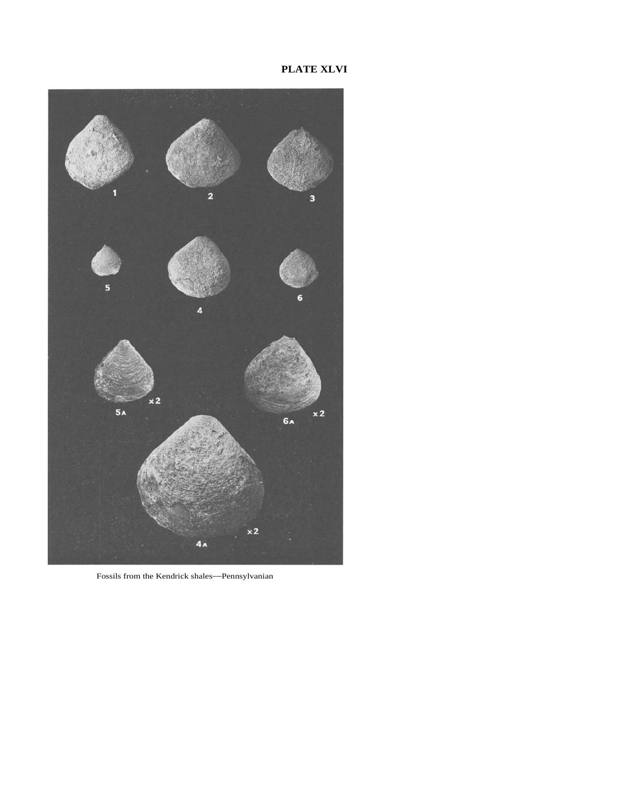**PLATE XLVI** 



Fossils from the Kendrick shales—Pennsylvanian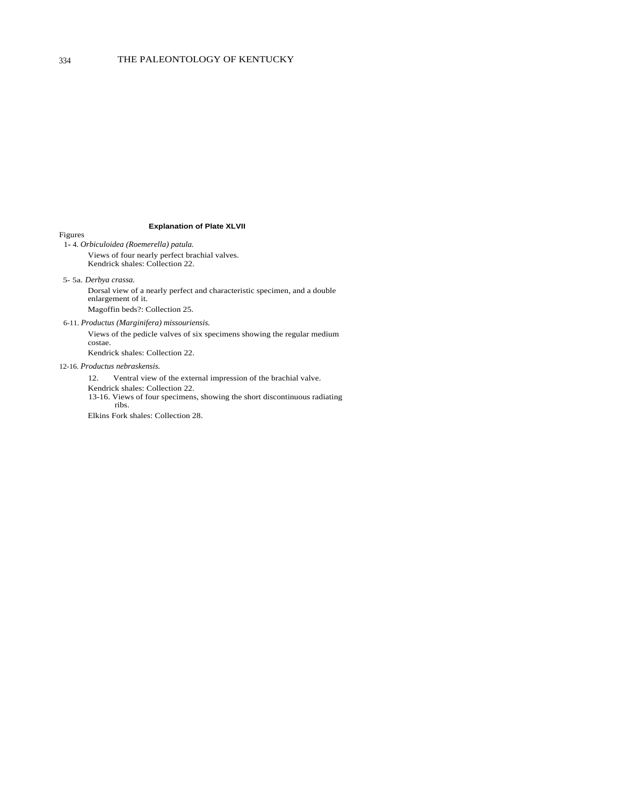## **Explanation of Plate XLVII**

Figures 1**-** 4. *Orbiculoidea (Roemerella) patula.*  Views of four nearly perfect brachial valves. Kendrick shales: Collection 22.

5- 5a. *Derbya crassa.* 

Dorsal view of a nearly perfect and characteristic specimen, and a double enlargement of it. Magoffin beds?: Collection 25.

6-11. *Productus (Marginifera) missouriensis.* 

Views of the pedicle valves of six specimens showing the regular medium costae.

Kendrick shales: Collection 22.

#### 12-16. *Productus nebraskensis.*

12. Ventral view of the external impression of the brachial valve.

Kendrick shales: Collection 22.

13-16. Views of four specimens, showing the short discontinuous radiating ribs.

Elkins Fork shales: Collection 28.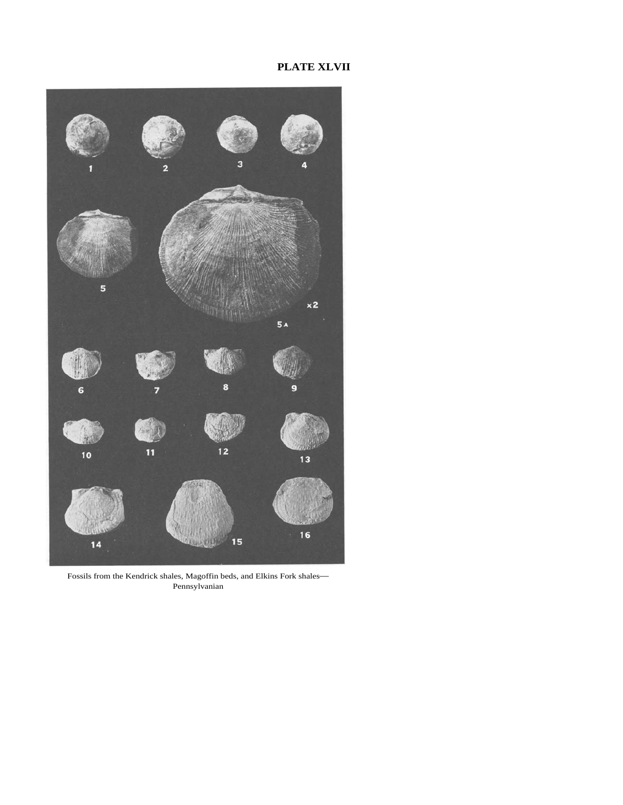# **PLATE XLVII**



Fossils from the Kendrick shales, Magoffin beds, and Elkins Fork shales— Pennsylvanian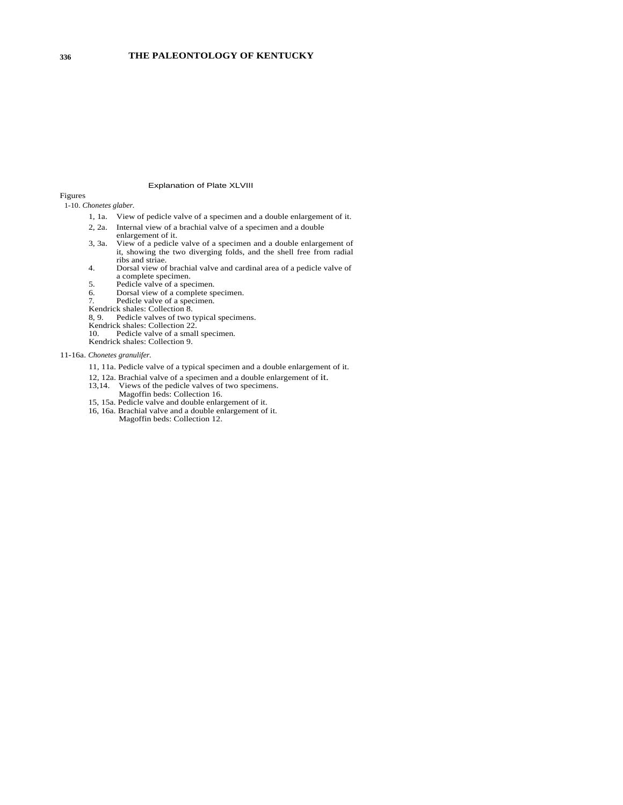## Explanation of Plate XLVIII

Figures

1-10. *Chonetes glaber.* 

- 1, 1a. View of pedicle valve of a specimen and a double enlargement of it.
- 2, 2a. Internal view of a brachial valve of a specimen and a double
- enlargement of it.
- 3, 3a. View of a pedicle valve of a specimen and a double enlargement of it, showing the two diverging folds, and the shell free from radial ribs and striae.
- 4. Dorsal view of brachial valve and cardinal area of a pedicle valve of a complete specimen.
- 5. Pedicle valve of a specimen.<br>6. Dorsal view of a complete sp
- 6. Dorsal view of a complete specimen.<br>7. Pedicle valve of a specimen.
- Pedicle valve of a specimen. Kendrick shales: Collection 8.
- 
- 8, 9. Pedicle valves of two typical specimens. Kendrick shales: Collection 22.
- 
- 10. Pedicle valve of a small specimen. Kendrick shales: Collection 9.

11-16a. *Chonetes granulifer.* 

- 11, 11a. Pedicle valve of a typical specimen and a double enlargement of it.
- 
- 12, 12a. Brachial valve of a specimen and a double enlargement of it. Views of the pedicle valves of two specimens.
- Magoffin beds: Collection 16.
- 15, 15a. Pedicle valve and double enlargement of it.
- 16, 16a. Brachial valve and a double enlargement of it. Magoffin beds: Collection 12.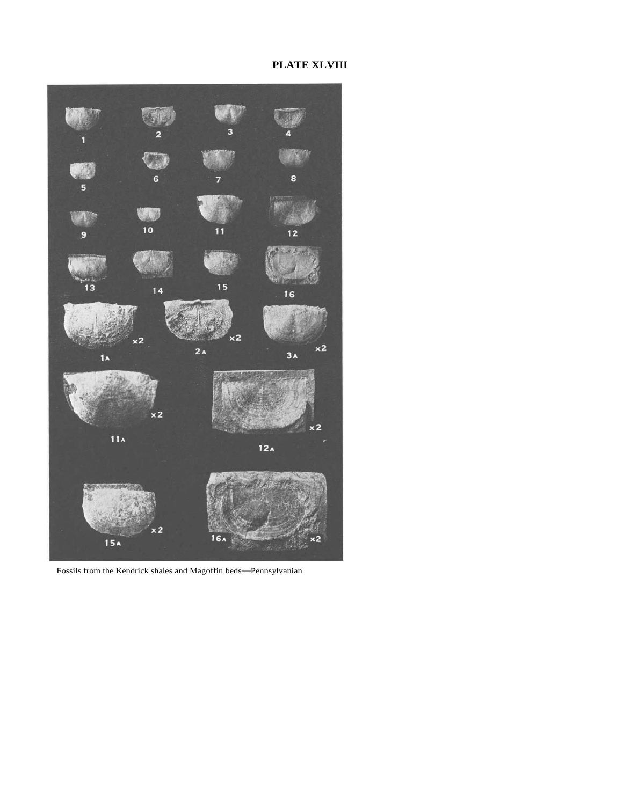# **PLATE XLVIII**



Fossils from the Kendrick shales and Magoffin beds—Pennsylvanian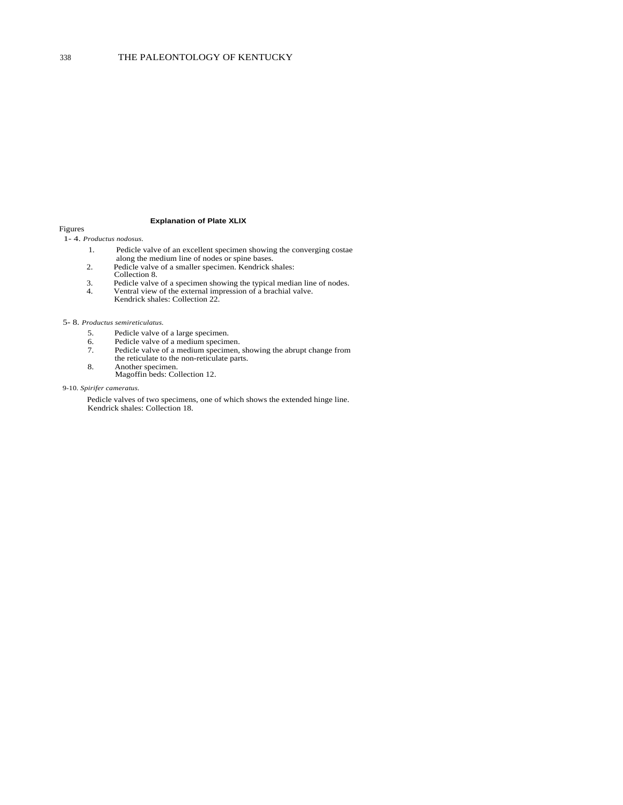### **Explanation of Plate XLIX**

Figures 1- 4. *Productus nodosus.* 

- 1. Pedicle valve of an excellent specimen showing the converging costae along the medium line of nodes or spine bases.
- 2. Pedicle valve of a smaller specimen. Kendrick shales:
- Collection 8.
- 3. Pedicle valve of a specimen showing the typical median line of nodes.
- 4. Ventral view of the external impression of a brachial valve. Kendrick shales: Collection 22.

#### 5- 8. *Productus semireticulatus.*

- 5. Pedicle valve of a large specimen.
- 6. Pedicle valve of a medium specimen.
- 7. Pedicle valve of a medium specimen, showing the abrupt change from
- the reticulate to the non-reticulate parts. 8. Another specimen.
	- Magoffin beds: Collection 12.

#### 9-10. *Spirifer cameratus.*

Pedicle valves of two specimens, one of which shows the extended hinge line. Kendrick shales: Collection 18.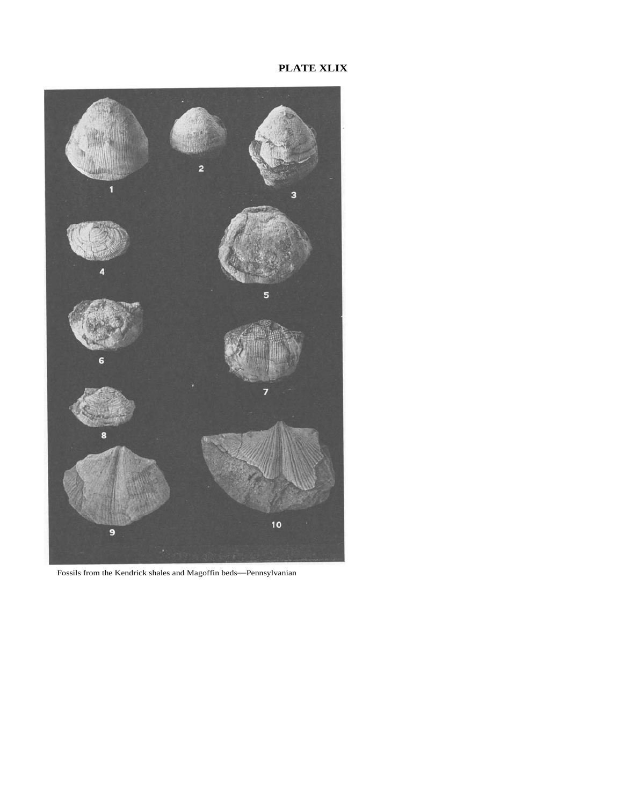

Fossils from the Kendrick shales and Magoffin beds—Pennsylvanian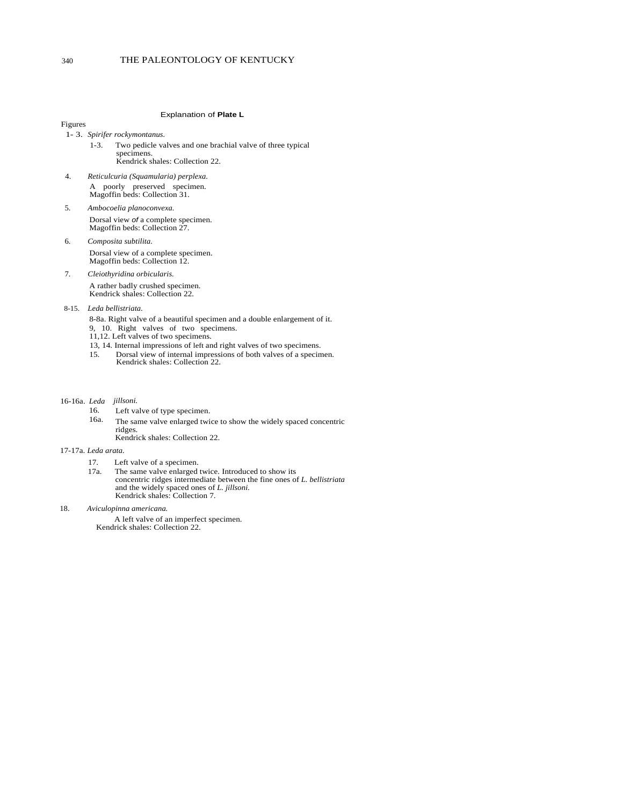### 340 THE PALEONTOLOGY OF KENTUCKY

#### Explanation of **Plate L**

Figures

- 1- 3. *Spirifer rockymontanus.* 
	- 1-3. Two pedicle valves and one brachial valve of three typical specimens. Kendrick shales: Collection 22.
- 4. *Reticulcuria (Squamularia) perplexa.*  A poorly preserved specimen. Magoffin beds: Collection 31.
- 5. *Ambocoelia planoconvexa.*  Dorsal view *of* a complete specimen. Magoffin beds: Collection 27.
- 6. *Composita subtilita.*  Dorsal view of a complete specimen. Magoffin beds: Collection 12.
- 7. *Cleiothyridina orbicularis.*  A rather badly crushed specimen. Kendrick shales: Collection 22.
- 8-15. *Leda bellistriata.* 
	- 8-8a. Right valve of a beautiful specimen and a double enlargement of it.
	- 9, 10. Right valves of two specimens.
	- 11,12. Left valves of two specimens.
	- 13, 14. Internal impressions of left and right valves of two specimens.<br>15. Dorsal view of internal impressions of both valves of a specing
	- Dorsal view of internal impressions of both valves of a specimen. Kendrick shales: Collection 22.
- *jillsoni.*  16-16a. *Leda* 
	- Left valve of type specimen. The same valve enlarged twice to show the widely spaced concentric ridges. Kendrick shales: Collection 22. 16. 16a.
	-

## 17-17a. *Leda arata.*

- 17. Left valve of a specimen.
- 17a. The same valve enlarged twice. Introduced to show its concentric ridges intermediate between the fine ones of *L. bellistriata*  and the widely spaced ones of *L. jillsoni.*  Kendrick shales: Collection 7.
- 18. *Aviculopinna americana.*

A left valve of an imperfect specimen. Kendrick shales: Collection 22.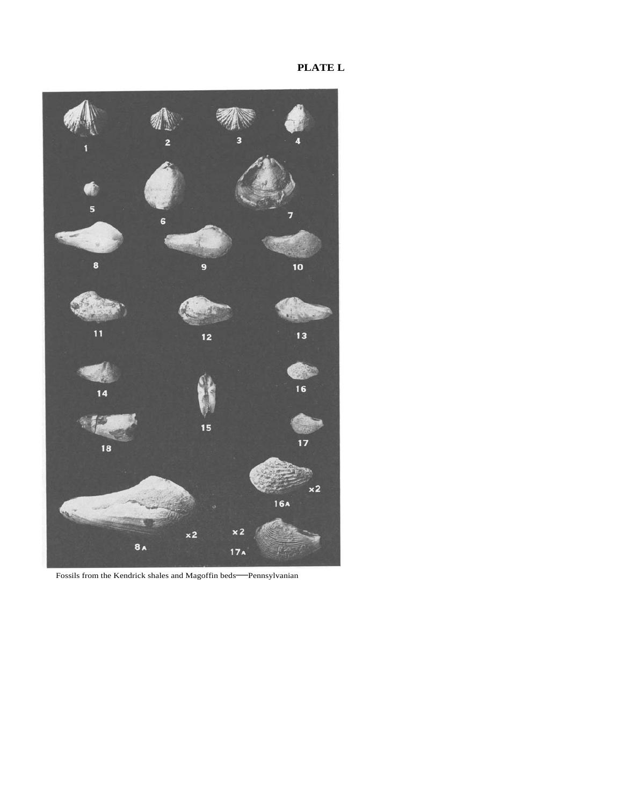**PLATE L** 



Fossils from the Kendrick shales and Magoffin beds—Pennsylvanian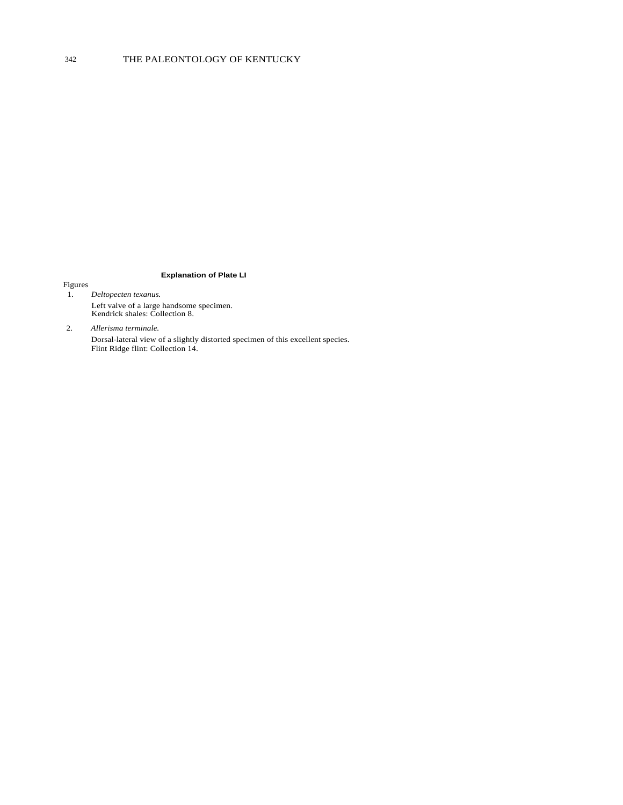## **Explanation of Plate LI**

## Figures

- 1. *Deltopecten texanus.*  Left valve of a large handsome specimen. Kendrick shales: Collection 8.
- 2. *Allerisma terminale.*  Dorsal-lateral view of a slightly distorted specimen of this excellent species. Flint Ridge flint: Collection 14.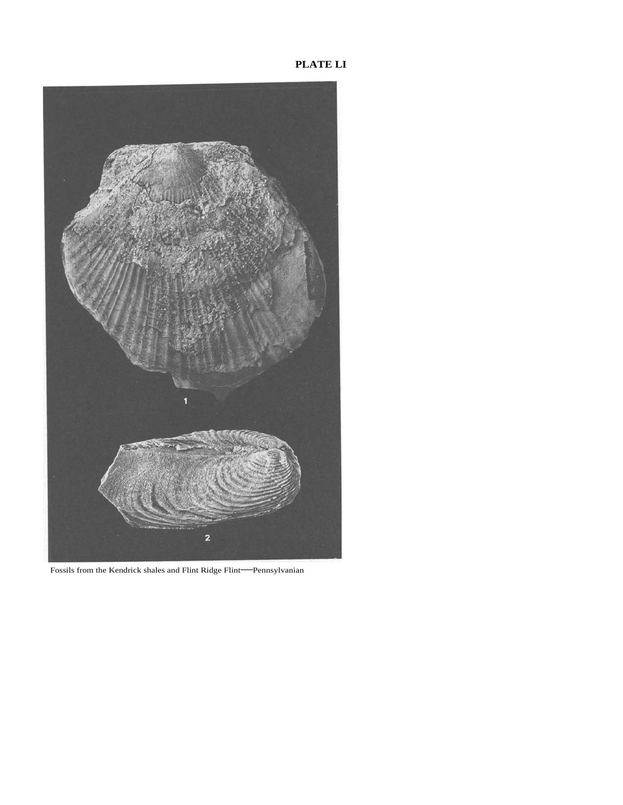**PLATE LI** 



Fossils from the Kendrick shales and Flint Ridge Flint—Pennsylvanian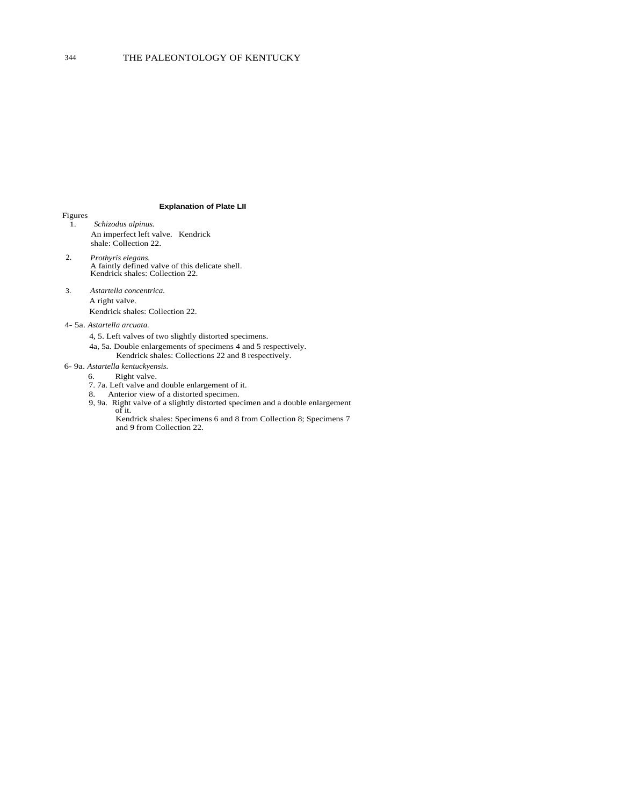## 344 THE PALEONTOLOGY OF KENTUCKY

#### **Explanation of Plate LII**

- Figures 1. *Schizodus alpinus.*  An imperfect left valve. Kendrick shale: Collection 22.
- 2. *Prothyris elegans.*  A faintly defined valve of this delicate shell. Kendrick shales: Collection 22.
- 3. *Astartella concentrica.*  A right valve. Kendrick shales: Collection 22.
- 4- 5a. *Astartella arcuata.* 
	- 4, 5. Left valves of two slightly distorted specimens.
	- 4a, 5a. Double enlargements of specimens 4 and 5 respectively.
		- Kendrick shales: Collections 22 and 8 respectively.
- 6- 9a. *Astartella kentuckyensis.* 
	- 6. Right valve.
	- 7. 7a. Left valve and double enlargement of it.
	- 8. Anterior view of a distorted specimen.
	- 9, 9a. Right valve of a slightly distorted specimen and a double enlargement of it.
		- Kendrick shales: Specimens 6 and 8 from Collection 8; Specimens 7 and 9 from Collection 22.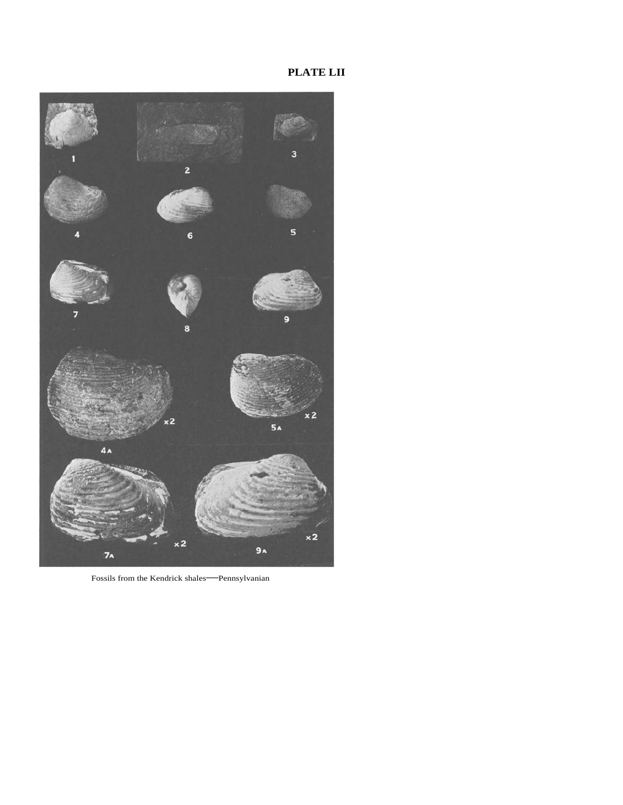# **PLATE LII**



Fossils from the Kendrick shales—Pennsylvanian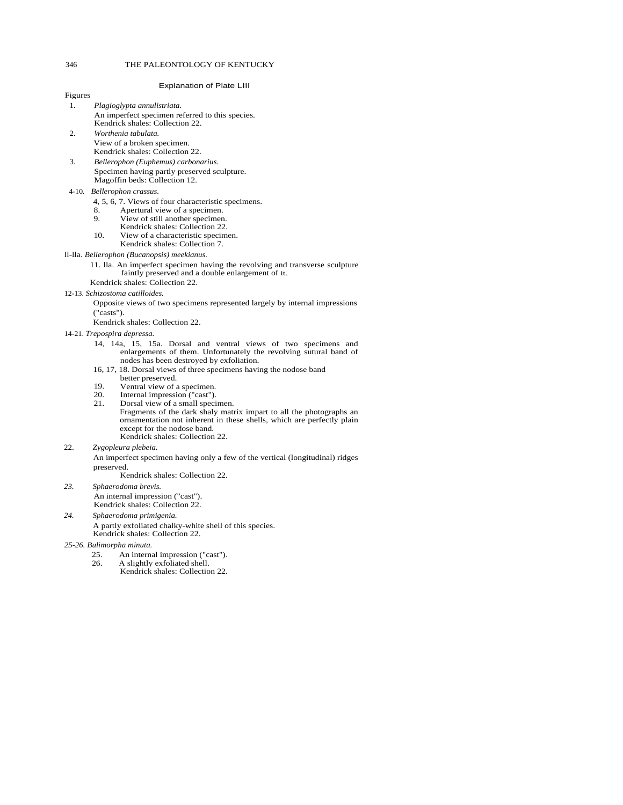#### 346 THE PALEONTOLOGY OF KENTUCKY

#### Explanation of Plate LIII

| -1. | Plagioglypta annulistriata.                     |
|-----|-------------------------------------------------|
|     | An imperfect specimen referred to this species. |
|     | Kendrick shales: Collection 22.                 |

- 2. *Worthenia tabulata.*  View of a broken specimen. Kendrick shales: Collection 22.
- 3. *Bellerophon (Euphemus) carbonarius.*  Specimen having partly preserved sculpture. Magoffin beds: Collection 12.

#### 4-10. *Bellerophon crassus.*

Figures

- 4, 5, 6, 7. Views of four characteristic specimens.
- 8. Apertural view of a specimen.<br>9. View of still another specimen
- View of still another specimen.
- Kendrick shales: Collection 22.
- 10. View of a characteristic specimen. Kendrick shales: Collection 7.

#### ll-lla. *Bellerophon (Bucanopsis) meekianus.*

- 11. lla. An imperfect specimen having the revolving and transverse sculpture faintly preserved and a double enlargement of it.
- Kendrick shales: Collection 22.

#### 12-13. *Schizostoma catilloides.*

Opposite views of two specimens represented largely by internal impressions ("casts").

Kendrick shales: Collection 22.

- 14-21. *Trepospira depressa.* 
	- 14, 14a, 15, 15a. Dorsal and ventral views of two specimens and enlargements of them. Unfortunately the revolving sutural band of nodes has been destroyed by exfoliation.
	- 16, 17, 18. Dorsal views of three specimens having the nodose band better preserved.
	- 19. Ventral view of a specimen.<br>20. Internal impression ("cast").
	- 20. Internal impression ("cast").<br>21. Dorsal view of a small special
	- Dorsal view of a small specimen. Fragments of the dark shaly matrix impart to all the photographs an ornamentation not inherent in these shells, which are perfectly plain except for the nodose band. Kendrick shales: Collection 22.
- 22. *Zygopleura plebeia.*

An imperfect specimen having only a few of the vertical (longitudinal) ridges preserved.

Kendrick shales: Collection 22.

*23. Sphaerodoma brevis.*  An internal impression ("cast"). Kendrick shales: Collection 22.

#### *24. Sphaerodoma primigenia.*

A partly exfoliated chalky-white shell of this species. Kendrick shales: Collection 22.

- *25-26. Bulimorpha minuta.* 
	- 25. An internal impression ("cast").<br>26. A slightly exfoliated shell
		- A slightly exfoliated shell. Kendrick shales: Collection 22.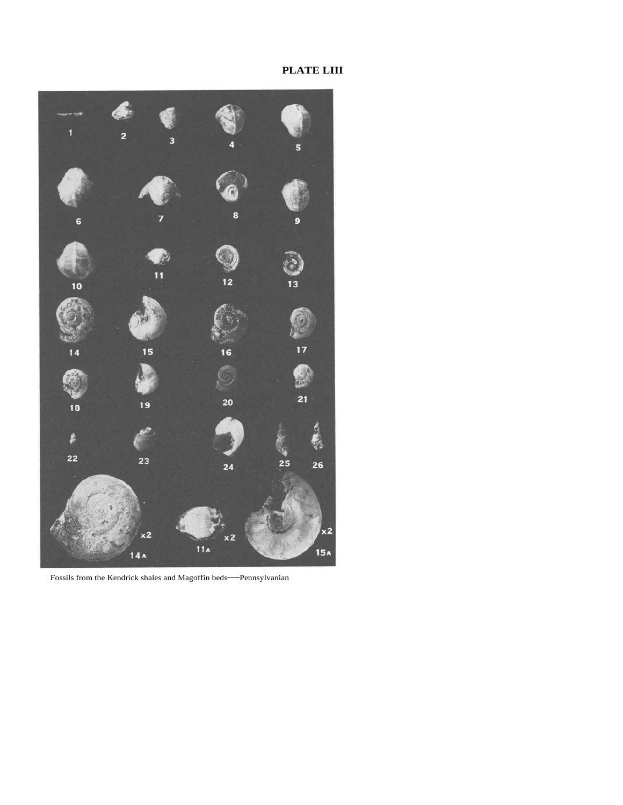# **PLATE LIII**



Fossils from the Kendrick shales and Magoffin beds—Pennsylvanian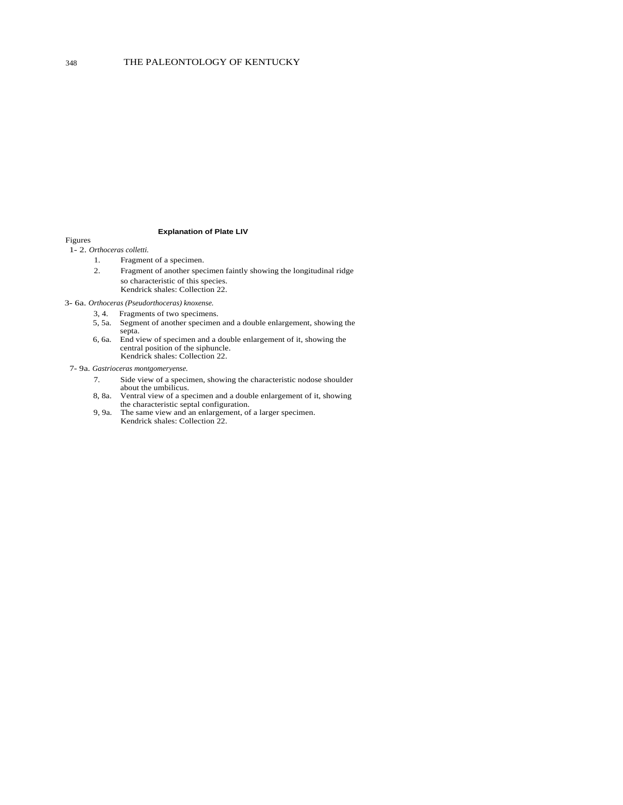## **Explanation of Plate LIV**

## Figures

- 1- 2. *Orthoceras colletti.* 
	- 1. Fragment of a specimen.
	- 2. Fragment of another specimen faintly showing the longitudinal ridge so characteristic of this species. Kendrick shales: Collection 22.

3- 6a. *Orthoceras (Pseudorthoceras) knoxense.* 

- 3, 4. Fragments of two specimens.
- 5, 5a. Segment of another specimen and a double enlargement, showing the septa.
- 6, 6a. End view of specimen and a double enlargement of it, showing the central position of the siphuncle. Kendrick shales: Collection 22.

## 7- 9a. *Gastrioceras montgomeryense.*

- 7. Side view of a specimen, showing the characteristic nodose shoulder about the umbilicus.
- 8, 8a. Ventral view of a specimen and a double enlargement of it, showing the characteristic septal configuration.
- 9, 9a. The same view and an enlargement, of a larger specimen. Kendrick shales: Collection 22.